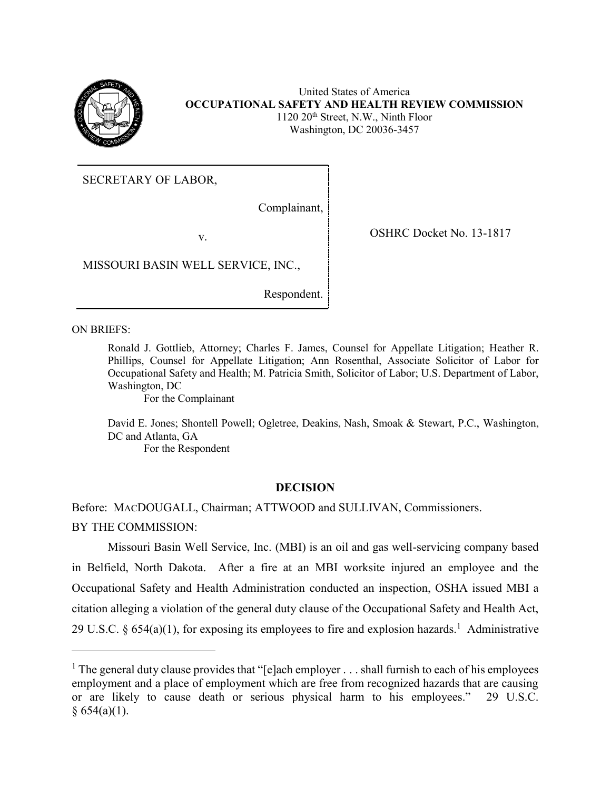

United States of America **OCCUPATIONAL SAFETY AND HEALTH REVIEW COMMISSION** 1120 20th Street, N.W., Ninth Floor Washington, DC 20036-3457

SECRETARY OF LABOR,

Complainant,

v. SHRC Docket No. 13-1817

MISSOURI BASIN WELL SERVICE, INC.,

Respondent.

ON BRIEFS:

 $\overline{\phantom{a}}$ 

Ronald J. Gottlieb, Attorney; Charles F. James, Counsel for Appellate Litigation; Heather R. Phillips, Counsel for Appellate Litigation; Ann Rosenthal, Associate Solicitor of Labor for Occupational Safety and Health; M. Patricia Smith, Solicitor of Labor; U.S. Department of Labor, Washington, DC

For the Complainant

David E. Jones; Shontell Powell; Ogletree, Deakins, Nash, Smoak & Stewart, P.C., Washington, DC and Atlanta, GA For the Respondent

# **DECISION**

Before: MACDOUGALL, Chairman; ATTWOOD and SULLIVAN, Commissioners. BY THE COMMISSION:

Missouri Basin Well Service, Inc. (MBI) is an oil and gas well-servicing company based in Belfield, North Dakota. After a fire at an MBI worksite injured an employee and the Occupational Safety and Health Administration conducted an inspection, OSHA issued MBI a citation alleging a violation of the general duty clause of the Occupational Safety and Health Act, 29 U.S.C. § 654(a)(1), for exposing its employees to fire and explosion hazards.<sup>1</sup> Administrative

<sup>&</sup>lt;sup>1</sup> The general duty clause provides that "[e]ach employer  $\dots$  shall furnish to each of his employees employment and a place of employment which are free from recognized hazards that are causing or are likely to cause death or serious physical harm to his employees." 29 U.S.C.  $§ 654(a)(1).$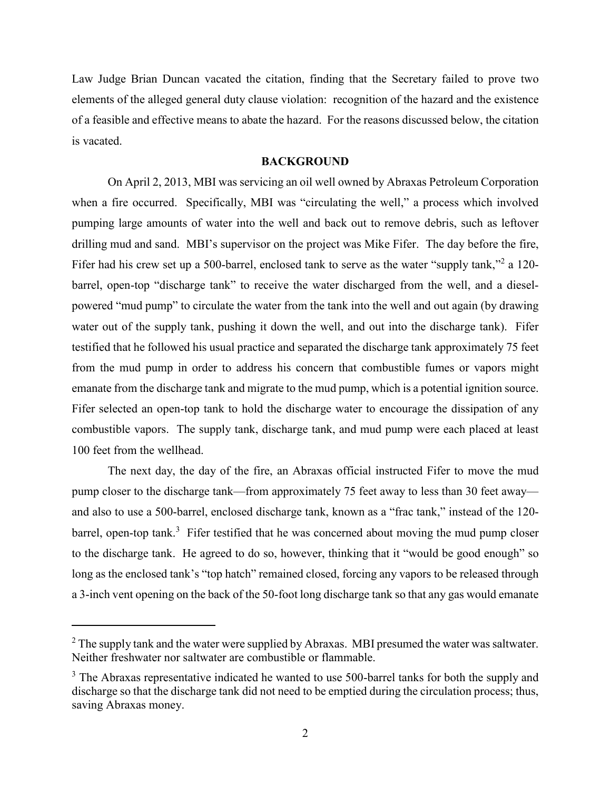Law Judge Brian Duncan vacated the citation, finding that the Secretary failed to prove two elements of the alleged general duty clause violation: recognition of the hazard and the existence of a feasible and effective means to abate the hazard. For the reasons discussed below, the citation is vacated.

## **BACKGROUND**

On April 2, 2013, MBI was servicing an oil well owned by Abraxas Petroleum Corporation when a fire occurred. Specifically, MBI was "circulating the well," a process which involved pumping large amounts of water into the well and back out to remove debris, such as leftover drilling mud and sand. MBI's supervisor on the project was Mike Fifer. The day before the fire, Fifer had his crew set up a 500-barrel, enclosed tank to serve as the water "supply tank,"<sup>2</sup> a 120barrel, open-top "discharge tank" to receive the water discharged from the well, and a dieselpowered "mud pump" to circulate the water from the tank into the well and out again (by drawing water out of the supply tank, pushing it down the well, and out into the discharge tank). Fifer testified that he followed his usual practice and separated the discharge tank approximately 75 feet from the mud pump in order to address his concern that combustible fumes or vapors might emanate from the discharge tank and migrate to the mud pump, which is a potential ignition source. Fifer selected an open-top tank to hold the discharge water to encourage the dissipation of any combustible vapors. The supply tank, discharge tank, and mud pump were each placed at least 100 feet from the wellhead.

The next day, the day of the fire, an Abraxas official instructed Fifer to move the mud pump closer to the discharge tank—from approximately 75 feet away to less than 30 feet away and also to use a 500-barrel, enclosed discharge tank, known as a "frac tank," instead of the 120 barrel, open-top tank.<sup>3</sup> Fifer testified that he was concerned about moving the mud pump closer to the discharge tank. He agreed to do so, however, thinking that it "would be good enough" so long as the enclosed tank's "top hatch" remained closed, forcing any vapors to be released through a 3-inch vent opening on the back of the 50-foot long discharge tank so that any gas would emanate

 $2$  The supply tank and the water were supplied by Abraxas. MBI presumed the water was saltwater. Neither freshwater nor saltwater are combustible or flammable.

 $3$  The Abraxas representative indicated he wanted to use 500-barrel tanks for both the supply and discharge so that the discharge tank did not need to be emptied during the circulation process; thus, saving Abraxas money.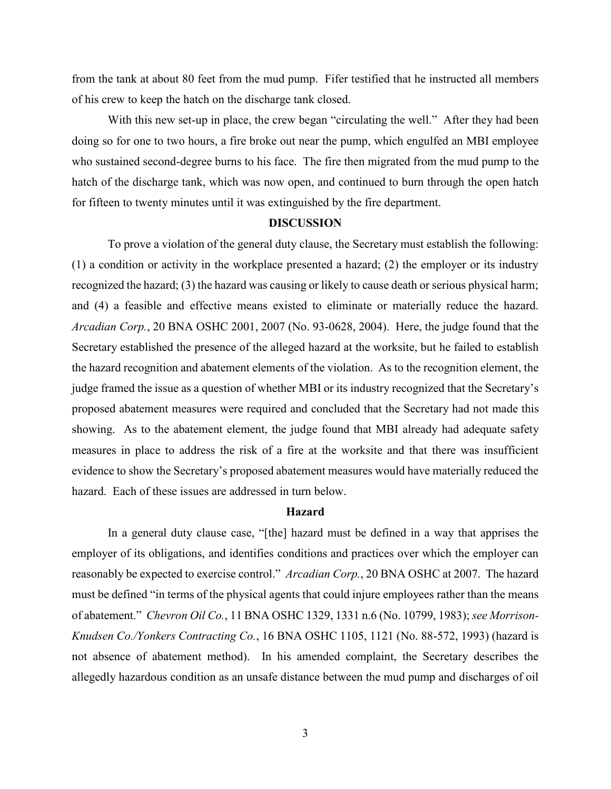from the tank at about 80 feet from the mud pump. Fifer testified that he instructed all members of his crew to keep the hatch on the discharge tank closed.

With this new set-up in place, the crew began "circulating the well." After they had been doing so for one to two hours, a fire broke out near the pump, which engulfed an MBI employee who sustained second-degree burns to his face. The fire then migrated from the mud pump to the hatch of the discharge tank, which was now open, and continued to burn through the open hatch for fifteen to twenty minutes until it was extinguished by the fire department.

## **DISCUSSION**

To prove a violation of the general duty clause, the Secretary must establish the following: (1) a condition or activity in the workplace presented a hazard; (2) the employer or its industry recognized the hazard; (3) the hazard was causing or likely to cause death or serious physical harm; and (4) a feasible and effective means existed to eliminate or materially reduce the hazard. *Arcadian Corp.*, 20 BNA OSHC 2001, 2007 (No. 93-0628, 2004). Here, the judge found that the Secretary established the presence of the alleged hazard at the worksite, but he failed to establish the hazard recognition and abatement elements of the violation. As to the recognition element, the judge framed the issue as a question of whether MBI or its industry recognized that the Secretary's proposed abatement measures were required and concluded that the Secretary had not made this showing. As to the abatement element, the judge found that MBI already had adequate safety measures in place to address the risk of a fire at the worksite and that there was insufficient evidence to show the Secretary's proposed abatement measures would have materially reduced the hazard. Each of these issues are addressed in turn below.

## **Hazard**

In a general duty clause case, "[the] hazard must be defined in a way that apprises the employer of its obligations, and identifies conditions and practices over which the employer can reasonably be expected to exercise control." *Arcadian Corp.*, 20 BNA OSHC at 2007. The hazard must be defined "in terms of the physical agents that could injure employees rather than the means of abatement." *Chevron Oil Co.*, 11 BNA OSHC 1329, 1331 n.6 (No. 10799, 1983); *see Morrison-Knudsen Co./Yonkers Contracting Co.*, 16 BNA OSHC 1105, 1121 (No. 88-572, 1993) (hazard is not absence of abatement method). In his amended complaint, the Secretary describes the allegedly hazardous condition as an unsafe distance between the mud pump and discharges of oil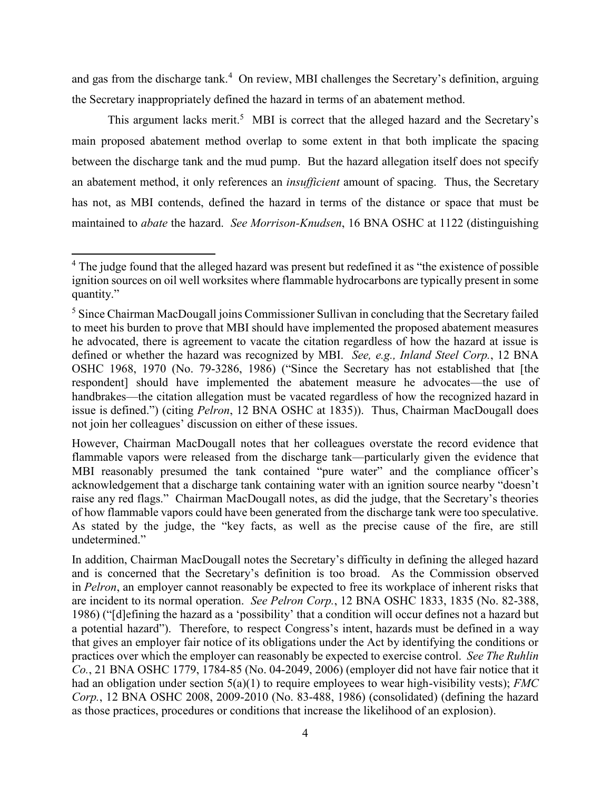and gas from the discharge tank.<sup>4</sup> On review, MBI challenges the Secretary's definition, arguing the Secretary inappropriately defined the hazard in terms of an abatement method.

This argument lacks merit.<sup>5</sup> MBI is correct that the alleged hazard and the Secretary's main proposed abatement method overlap to some extent in that both implicate the spacing between the discharge tank and the mud pump. But the hazard allegation itself does not specify an abatement method, it only references an *insufficient* amount of spacing. Thus, the Secretary has not, as MBI contends, defined the hazard in terms of the distance or space that must be maintained to *abate* the hazard. *See Morrison-Knudsen*, 16 BNA OSHC at 1122 (distinguishing

<sup>&</sup>lt;sup>4</sup> The judge found that the alleged hazard was present but redefined it as "the existence of possible ignition sources on oil well worksites where flammable hydrocarbons are typically present in some quantity."

<sup>&</sup>lt;sup>5</sup> Since Chairman MacDougall joins Commissioner Sullivan in concluding that the Secretary failed to meet his burden to prove that MBI should have implemented the proposed abatement measures he advocated, there is agreement to vacate the citation regardless of how the hazard at issue is defined or whether the hazard was recognized by MBI. *See, e.g., Inland Steel Corp.*, 12 BNA OSHC 1968, 1970 (No. 79-3286, 1986) ("Since the Secretary has not established that [the respondent] should have implemented the abatement measure he advocates—the use of handbrakes—the citation allegation must be vacated regardless of how the recognized hazard in issue is defined.") (citing *Pelron*, 12 BNA OSHC at 1835)). Thus, Chairman MacDougall does not join her colleagues' discussion on either of these issues.

However, Chairman MacDougall notes that her colleagues overstate the record evidence that flammable vapors were released from the discharge tank—particularly given the evidence that MBI reasonably presumed the tank contained "pure water" and the compliance officer's acknowledgement that a discharge tank containing water with an ignition source nearby "doesn't raise any red flags." Chairman MacDougall notes, as did the judge, that the Secretary's theories of how flammable vapors could have been generated from the discharge tank were too speculative. As stated by the judge, the "key facts, as well as the precise cause of the fire, are still undetermined."

In addition, Chairman MacDougall notes the Secretary's difficulty in defining the alleged hazard and is concerned that the Secretary's definition is too broad. As the Commission observed in *Pelron*, an employer cannot reasonably be expected to free its workplace of inherent risks that are incident to its normal operation. *See Pelron Corp.*, 12 BNA OSHC 1833, 1835 (No. 82-388, 1986) ("[d]efining the hazard as a 'possibility' that a condition will occur defines not a hazard but a potential hazard"). Therefore, to respect Congress's intent, hazards must be defined in a way that gives an employer fair notice of its obligations under the Act by identifying the conditions or practices over which the employer can reasonably be expected to exercise control. *See The Ruhlin Co.*, 21 BNA OSHC 1779, 1784-85 (No. 04-2049, 2006) (employer did not have fair notice that it had an obligation under section 5(a)(1) to require employees to wear high-visibility vests); *FMC Corp.*, 12 BNA OSHC 2008, 2009-2010 (No. 83-488, 1986) (consolidated) (defining the hazard as those practices, procedures or conditions that increase the likelihood of an explosion).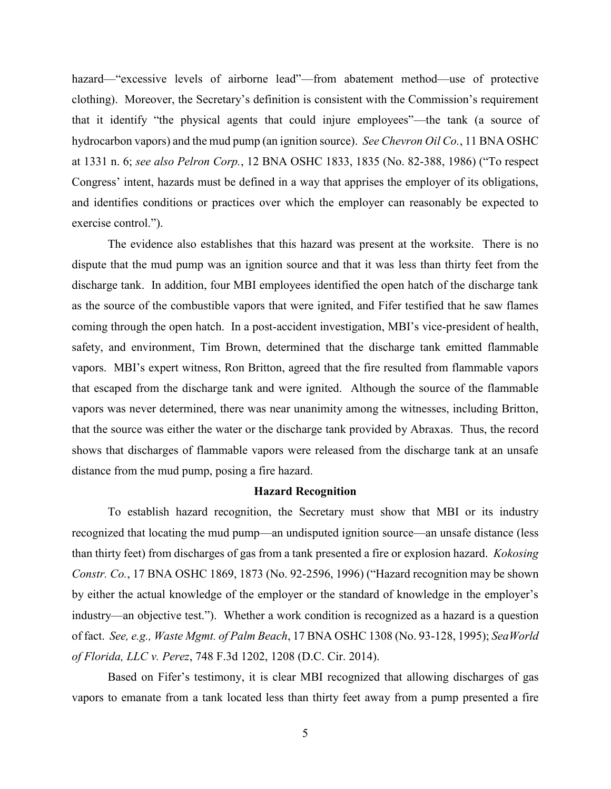hazard—"excessive levels of airborne lead"—from abatement method—use of protective clothing). Moreover, the Secretary's definition is consistent with the Commission's requirement that it identify "the physical agents that could injure employees"—the tank (a source of hydrocarbon vapors) and the mud pump (an ignition source). *See Chevron Oil Co.*, 11 BNA OSHC at 1331 n. 6; *see also Pelron Corp.*, 12 BNA OSHC 1833, 1835 (No. 82-388, 1986) ("To respect Congress' intent, hazards must be defined in a way that apprises the employer of its obligations, and identifies conditions or practices over which the employer can reasonably be expected to exercise control.").

The evidence also establishes that this hazard was present at the worksite. There is no dispute that the mud pump was an ignition source and that it was less than thirty feet from the discharge tank. In addition, four MBI employees identified the open hatch of the discharge tank as the source of the combustible vapors that were ignited, and Fifer testified that he saw flames coming through the open hatch. In a post-accident investigation, MBI's vice-president of health, safety, and environment, Tim Brown, determined that the discharge tank emitted flammable vapors. MBI's expert witness, Ron Britton, agreed that the fire resulted from flammable vapors that escaped from the discharge tank and were ignited. Although the source of the flammable vapors was never determined, there was near unanimity among the witnesses, including Britton, that the source was either the water or the discharge tank provided by Abraxas. Thus, the record shows that discharges of flammable vapors were released from the discharge tank at an unsafe distance from the mud pump, posing a fire hazard.

## **Hazard Recognition**

To establish hazard recognition, the Secretary must show that MBI or its industry recognized that locating the mud pump—an undisputed ignition source—an unsafe distance (less than thirty feet) from discharges of gas from a tank presented a fire or explosion hazard. *Kokosing Constr. Co.*, 17 BNA OSHC 1869, 1873 (No. 92-2596, 1996) ("Hazard recognition may be shown by either the actual knowledge of the employer or the standard of knowledge in the employer's industry—an objective test."). Whether a work condition is recognized as a hazard is a question of fact. *See, e.g., Waste Mgmt. of Palm Beach*, 17 BNA OSHC 1308 (No. 93-128, 1995); *SeaWorld of Florida, LLC v. Perez*, 748 F.3d 1202, 1208 (D.C. Cir. 2014).

Based on Fifer's testimony, it is clear MBI recognized that allowing discharges of gas vapors to emanate from a tank located less than thirty feet away from a pump presented a fire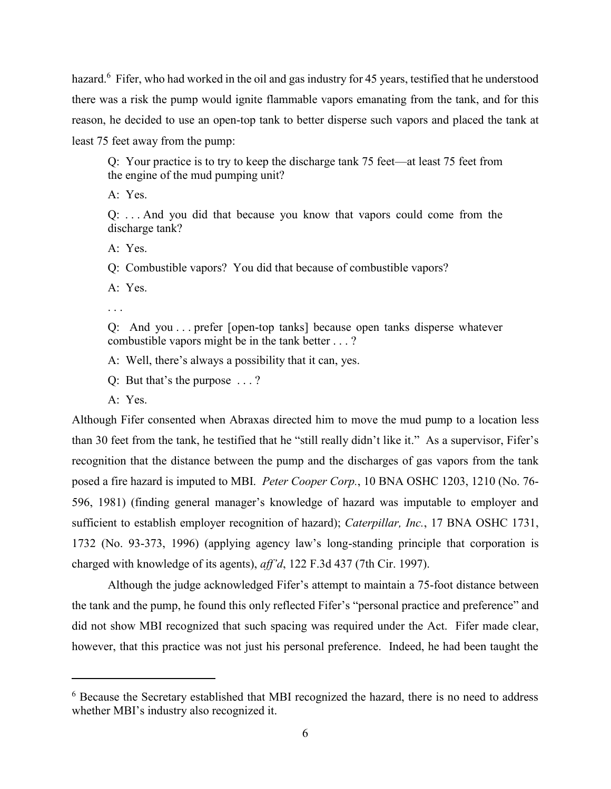hazard.<sup>6</sup> Fifer, who had worked in the oil and gas industry for 45 years, testified that he understood there was a risk the pump would ignite flammable vapors emanating from the tank, and for this reason, he decided to use an open-top tank to better disperse such vapors and placed the tank at least 75 feet away from the pump:

Q: Your practice is to try to keep the discharge tank 75 feet—at least 75 feet from the engine of the mud pumping unit?

A: Yes.

Q: . . . And you did that because you know that vapors could come from the discharge tank?

A: Yes.

Q: Combustible vapors? You did that because of combustible vapors?

A: Yes.

. . .

Q: And you . . . prefer [open-top tanks] because open tanks disperse whatever combustible vapors might be in the tank better . . . ?

A: Well, there's always a possibility that it can, yes.

Q: But that's the purpose . . . ?

A: Yes.

 $\overline{a}$ 

Although Fifer consented when Abraxas directed him to move the mud pump to a location less than 30 feet from the tank, he testified that he "still really didn't like it." As a supervisor, Fifer's recognition that the distance between the pump and the discharges of gas vapors from the tank posed a fire hazard is imputed to MBI. *Peter Cooper Corp.*, 10 BNA OSHC 1203, 1210 (No. 76- 596, 1981) (finding general manager's knowledge of hazard was imputable to employer and sufficient to establish employer recognition of hazard); *Caterpillar, Inc.*, 17 BNA OSHC 1731, 1732 (No. 93-373, 1996) (applying agency law's long-standing principle that corporation is charged with knowledge of its agents), *aff'd*, 122 F.3d 437 (7th Cir. 1997).

Although the judge acknowledged Fifer's attempt to maintain a 75-foot distance between the tank and the pump, he found this only reflected Fifer's "personal practice and preference" and did not show MBI recognized that such spacing was required under the Act. Fifer made clear, however, that this practice was not just his personal preference. Indeed, he had been taught the

<sup>6</sup> Because the Secretary established that MBI recognized the hazard, there is no need to address whether MBI's industry also recognized it.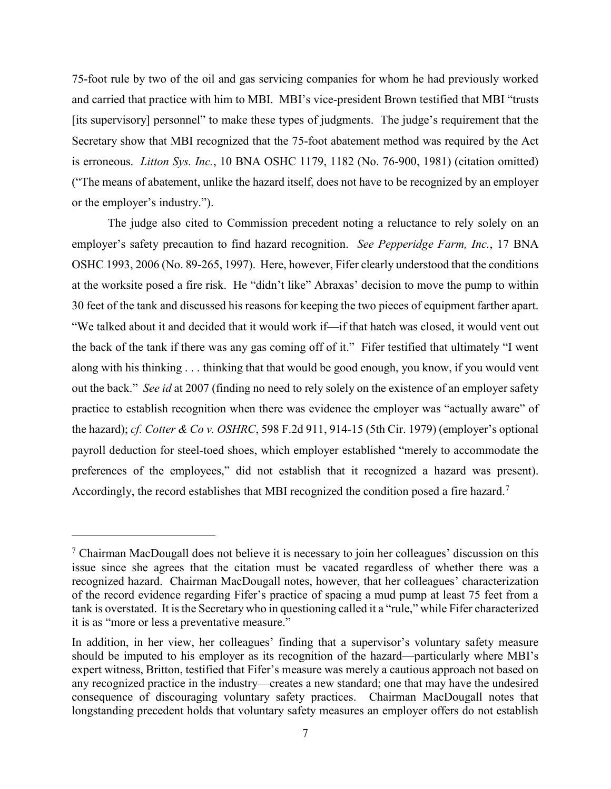75-foot rule by two of the oil and gas servicing companies for whom he had previously worked and carried that practice with him to MBI. MBI's vice-president Brown testified that MBI "trusts [its supervisory] personnel" to make these types of judgments. The judge's requirement that the Secretary show that MBI recognized that the 75-foot abatement method was required by the Act is erroneous. *Litton Sys. Inc.*, 10 BNA OSHC 1179, 1182 (No. 76-900, 1981) (citation omitted) ("The means of abatement, unlike the hazard itself, does not have to be recognized by an employer or the employer's industry.").

The judge also cited to Commission precedent noting a reluctance to rely solely on an employer's safety precaution to find hazard recognition. *See Pepperidge Farm, Inc.*, 17 BNA OSHC 1993, 2006 (No. 89-265, 1997). Here, however, Fifer clearly understood that the conditions at the worksite posed a fire risk. He "didn't like" Abraxas' decision to move the pump to within 30 feet of the tank and discussed his reasons for keeping the two pieces of equipment farther apart. "We talked about it and decided that it would work if—if that hatch was closed, it would vent out the back of the tank if there was any gas coming off of it." Fifer testified that ultimately "I went along with his thinking . . . thinking that that would be good enough, you know, if you would vent out the back." *See id* at 2007 (finding no need to rely solely on the existence of an employer safety practice to establish recognition when there was evidence the employer was "actually aware" of the hazard); *cf. Cotter & Co v. OSHRC*, 598 F.2d 911, 914-15 (5th Cir. 1979) (employer's optional payroll deduction for steel-toed shoes, which employer established "merely to accommodate the preferences of the employees," did not establish that it recognized a hazard was present). Accordingly, the record establishes that MBI recognized the condition posed a fire hazard.<sup>7</sup>

 $\overline{a}$ 

 $<sup>7</sup>$  Chairman MacDougall does not believe it is necessary to join her colleagues' discussion on this</sup> issue since she agrees that the citation must be vacated regardless of whether there was a recognized hazard. Chairman MacDougall notes, however, that her colleagues' characterization of the record evidence regarding Fifer's practice of spacing a mud pump at least 75 feet from a tank is overstated. It is the Secretary who in questioning called it a "rule," while Fifer characterized it is as "more or less a preventative measure."

In addition, in her view, her colleagues' finding that a supervisor's voluntary safety measure should be imputed to his employer as its recognition of the hazard—particularly where MBI's expert witness, Britton, testified that Fifer's measure was merely a cautious approach not based on any recognized practice in the industry—creates a new standard; one that may have the undesired consequence of discouraging voluntary safety practices. Chairman MacDougall notes that longstanding precedent holds that voluntary safety measures an employer offers do not establish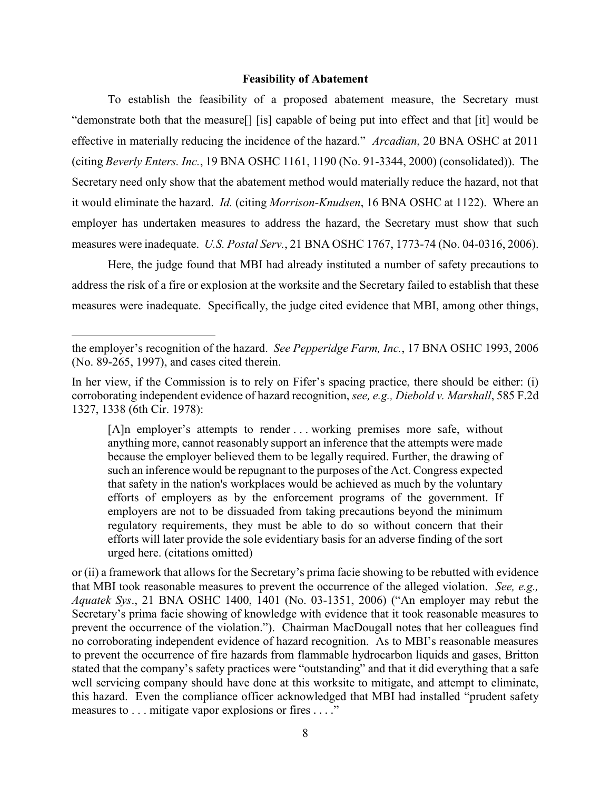## **Feasibility of Abatement**

To establish the feasibility of a proposed abatement measure, the Secretary must "demonstrate both that the measure[] [is] capable of being put into effect and that [it] would be effective in materially reducing the incidence of the hazard." *Arcadian*, 20 BNA OSHC at 2011 (citing *Beverly Enters. Inc.*, 19 BNA OSHC 1161, 1190 (No. 91-3344, 2000) (consolidated)). The Secretary need only show that the abatement method would materially reduce the hazard, not that it would eliminate the hazard. *Id.* (citing *Morrison-Knudsen*, 16 BNA OSHC at 1122). Where an employer has undertaken measures to address the hazard, the Secretary must show that such measures were inadequate. *U.S. Postal Serv.*, 21 BNA OSHC 1767, 1773-74 (No. 04-0316, 2006).

Here, the judge found that MBI had already instituted a number of safety precautions to address the risk of a fire or explosion at the worksite and the Secretary failed to establish that these measures were inadequate. Specifically, the judge cited evidence that MBI, among other things,

 $\overline{\phantom{a}}$ 

[A]n employer's attempts to render ... working premises more safe, without anything more, cannot reasonably support an inference that the attempts were made because the employer believed them to be legally required. Further, the drawing of such an inference would be repugnant to the purposes of the Act. Congress expected that safety in the nation's workplaces would be achieved as much by the voluntary efforts of employers as by the enforcement programs of the government. If employers are not to be dissuaded from taking precautions beyond the minimum regulatory requirements, they must be able to do so without concern that their efforts will later provide the sole evidentiary basis for an adverse finding of the sort urged here. (citations omitted)

or (ii) a framework that allows for the Secretary's prima facie showing to be rebutted with evidence that MBI took reasonable measures to prevent the occurrence of the alleged violation. *See, e.g., Aquatek Sys*., 21 BNA OSHC 1400, 1401 (No. 03-1351, 2006) ("An employer may rebut the Secretary's prima facie showing of knowledge with evidence that it took reasonable measures to prevent the occurrence of the violation."). Chairman MacDougall notes that her colleagues find no corroborating independent evidence of hazard recognition. As to MBI's reasonable measures to prevent the occurrence of fire hazards from flammable hydrocarbon liquids and gases, Britton stated that the company's safety practices were "outstanding" and that it did everything that a safe well servicing company should have done at this worksite to mitigate, and attempt to eliminate, this hazard. Even the compliance officer acknowledged that MBI had installed "prudent safety measures to . . . mitigate vapor explosions or fires . . . ."

the employer's recognition of the hazard. *See Pepperidge Farm, Inc.*, 17 BNA OSHC 1993, 2006 (No. 89-265, 1997), and cases cited therein.

In her view, if the Commission is to rely on Fifer's spacing practice, there should be either: (i) corroborating independent evidence of hazard recognition, *see, e.g., Diebold v. Marshall*, 585 F.2d 1327, 1338 (6th Cir. 1978):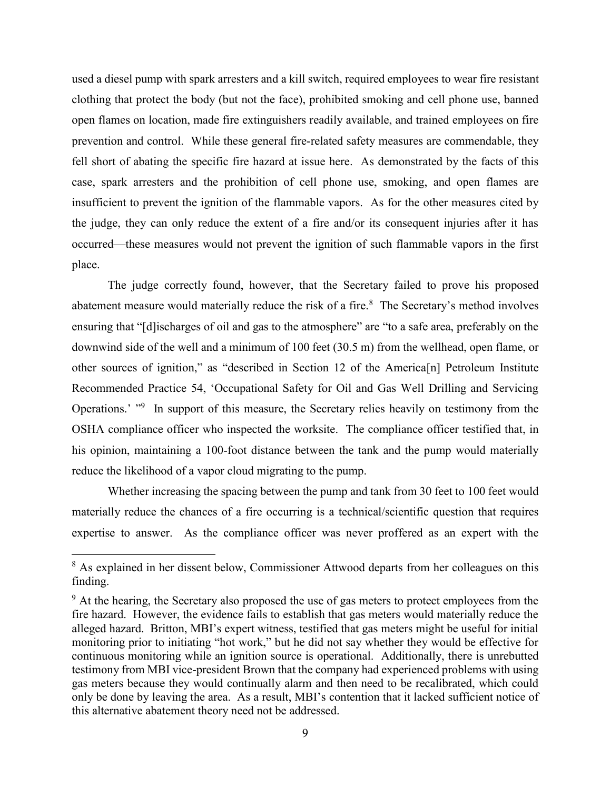used a diesel pump with spark arresters and a kill switch, required employees to wear fire resistant clothing that protect the body (but not the face), prohibited smoking and cell phone use, banned open flames on location, made fire extinguishers readily available, and trained employees on fire prevention and control. While these general fire-related safety measures are commendable, they fell short of abating the specific fire hazard at issue here. As demonstrated by the facts of this case, spark arresters and the prohibition of cell phone use, smoking, and open flames are insufficient to prevent the ignition of the flammable vapors. As for the other measures cited by the judge, they can only reduce the extent of a fire and/or its consequent injuries after it has occurred—these measures would not prevent the ignition of such flammable vapors in the first place.

The judge correctly found, however, that the Secretary failed to prove his proposed abatement measure would materially reduce the risk of a fire. $8$  The Secretary's method involves ensuring that "[d]ischarges of oil and gas to the atmosphere" are "to a safe area, preferably on the downwind side of the well and a minimum of 100 feet (30.5 m) from the wellhead, open flame, or other sources of ignition," as "described in Section 12 of the America[n] Petroleum Institute Recommended Practice 54, 'Occupational Safety for Oil and Gas Well Drilling and Servicing Operations.' "<sup>9</sup> In support of this measure, the Secretary relies heavily on testimony from the OSHA compliance officer who inspected the worksite. The compliance officer testified that, in his opinion, maintaining a 100-foot distance between the tank and the pump would materially reduce the likelihood of a vapor cloud migrating to the pump.

Whether increasing the spacing between the pump and tank from 30 feet to 100 feet would materially reduce the chances of a fire occurring is a technical/scientific question that requires expertise to answer. As the compliance officer was never proffered as an expert with the

<sup>&</sup>lt;sup>8</sup> As explained in her dissent below, Commissioner Attwood departs from her colleagues on this finding.

<sup>&</sup>lt;sup>9</sup> At the hearing, the Secretary also proposed the use of gas meters to protect employees from the fire hazard. However, the evidence fails to establish that gas meters would materially reduce the alleged hazard. Britton, MBI's expert witness, testified that gas meters might be useful for initial monitoring prior to initiating "hot work," but he did not say whether they would be effective for continuous monitoring while an ignition source is operational. Additionally, there is unrebutted testimony from MBI vice-president Brown that the company had experienced problems with using gas meters because they would continually alarm and then need to be recalibrated, which could only be done by leaving the area. As a result, MBI's contention that it lacked sufficient notice of this alternative abatement theory need not be addressed.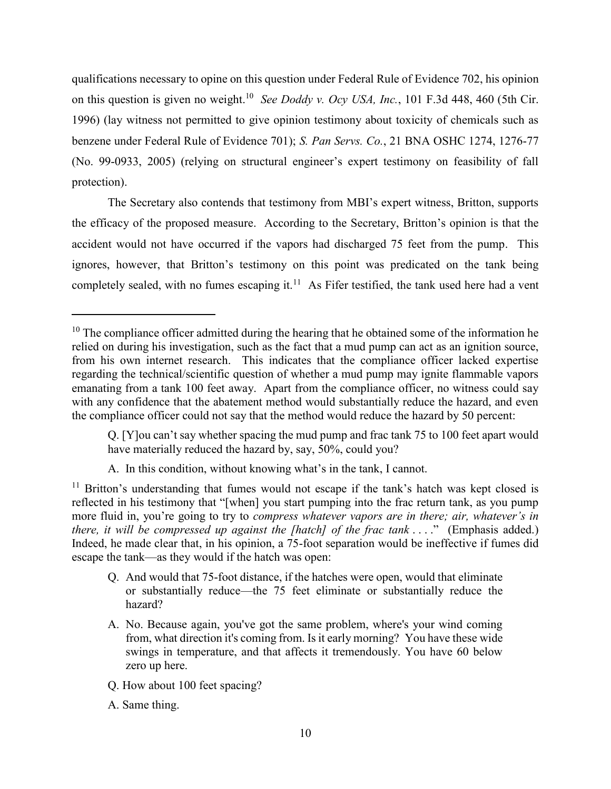qualifications necessary to opine on this question under Federal Rule of Evidence 702, his opinion on this question is given no weight.<sup>10</sup> See Doddy v. Ocy USA, Inc., 101 F.3d 448, 460 (5th Cir. 1996) (lay witness not permitted to give opinion testimony about toxicity of chemicals such as benzene under Federal Rule of Evidence 701); *S. Pan Servs. Co.*, 21 BNA OSHC 1274, 1276-77 (No. 99-0933, 2005) (relying on structural engineer's expert testimony on feasibility of fall protection).

The Secretary also contends that testimony from MBI's expert witness, Britton, supports the efficacy of the proposed measure. According to the Secretary, Britton's opinion is that the accident would not have occurred if the vapors had discharged 75 feet from the pump. This ignores, however, that Britton's testimony on this point was predicated on the tank being completely sealed, with no fumes escaping it. $<sup>11</sup>$  As Fifer testified, the tank used here had a vent</sup>

- Q. And would that 75-foot distance, if the hatches were open, would that eliminate or substantially reduce—the 75 feet eliminate or substantially reduce the hazard?
- A. No. Because again, you've got the same problem, where's your wind coming from, what direction it's coming from. Is it early morning? You have these wide swings in temperature, and that affects it tremendously. You have 60 below zero up here.
- Q. How about 100 feet spacing?
- A. Same thing.

 $10$  The compliance officer admitted during the hearing that he obtained some of the information he relied on during his investigation, such as the fact that a mud pump can act as an ignition source, from his own internet research. This indicates that the compliance officer lacked expertise regarding the technical/scientific question of whether a mud pump may ignite flammable vapors emanating from a tank 100 feet away. Apart from the compliance officer, no witness could say with any confidence that the abatement method would substantially reduce the hazard, and even the compliance officer could not say that the method would reduce the hazard by 50 percent:

Q. [Y]ou can't say whether spacing the mud pump and frac tank 75 to 100 feet apart would have materially reduced the hazard by, say, 50%, could you?

A. In this condition, without knowing what's in the tank, I cannot.

 $11$  Britton's understanding that fumes would not escape if the tank's hatch was kept closed is reflected in his testimony that "[when] you start pumping into the frac return tank, as you pump more fluid in, you're going to try to *compress whatever vapors are in there; air, whatever's in there, it will be compressed up against the [hatch] of the frac tank ....*" (Emphasis added.) Indeed, he made clear that, in his opinion, a 75-foot separation would be ineffective if fumes did escape the tank—as they would if the hatch was open: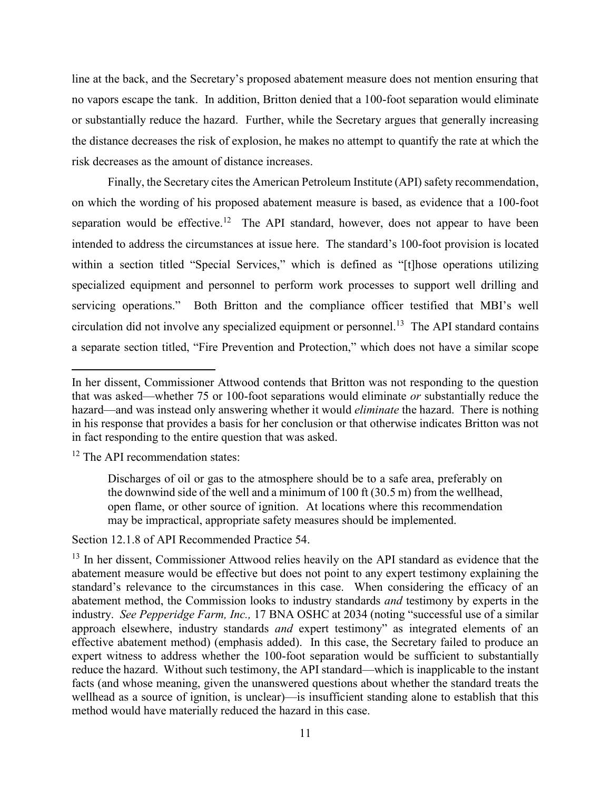line at the back, and the Secretary's proposed abatement measure does not mention ensuring that no vapors escape the tank. In addition, Britton denied that a 100-foot separation would eliminate or substantially reduce the hazard. Further, while the Secretary argues that generally increasing the distance decreases the risk of explosion, he makes no attempt to quantify the rate at which the risk decreases as the amount of distance increases.

Finally, the Secretary cites the American Petroleum Institute (API) safety recommendation, on which the wording of his proposed abatement measure is based, as evidence that a 100-foot separation would be effective.<sup>12</sup> The API standard, however, does not appear to have been intended to address the circumstances at issue here. The standard's 100-foot provision is located within a section titled "Special Services," which is defined as "[t]hose operations utilizing specialized equipment and personnel to perform work processes to support well drilling and servicing operations." Both Britton and the compliance officer testified that MBI's well circulation did not involve any specialized equipment or personnel. 13 The API standard contains a separate section titled, "Fire Prevention and Protection," which does not have a similar scope

<sup>12</sup> The API recommendation states:

 $\overline{\phantom{a}}$ 

Discharges of oil or gas to the atmosphere should be to a safe area, preferably on the downwind side of the well and a minimum of 100 ft (30.5 m) from the wellhead, open flame, or other source of ignition. At locations where this recommendation may be impractical, appropriate safety measures should be implemented.

Section 12.1.8 of API Recommended Practice 54.

In her dissent, Commissioner Attwood contends that Britton was not responding to the question that was asked—whether 75 or 100-foot separations would eliminate *or* substantially reduce the hazard—and was instead only answering whether it would *eliminate* the hazard. There is nothing in his response that provides a basis for her conclusion or that otherwise indicates Britton was not in fact responding to the entire question that was asked.

<sup>&</sup>lt;sup>13</sup> In her dissent, Commissioner Attwood relies heavily on the API standard as evidence that the abatement measure would be effective but does not point to any expert testimony explaining the standard's relevance to the circumstances in this case. When considering the efficacy of an abatement method, the Commission looks to industry standards *and* testimony by experts in the industry. *See Pepperidge Farm, Inc.,* 17 BNA OSHC at 2034 (noting "successful use of a similar approach elsewhere, industry standards *and* expert testimony" as integrated elements of an effective abatement method) (emphasis added). In this case, the Secretary failed to produce an expert witness to address whether the 100-foot separation would be sufficient to substantially reduce the hazard. Without such testimony, the API standard—which is inapplicable to the instant facts (and whose meaning, given the unanswered questions about whether the standard treats the wellhead as a source of ignition, is unclear)—is insufficient standing alone to establish that this method would have materially reduced the hazard in this case.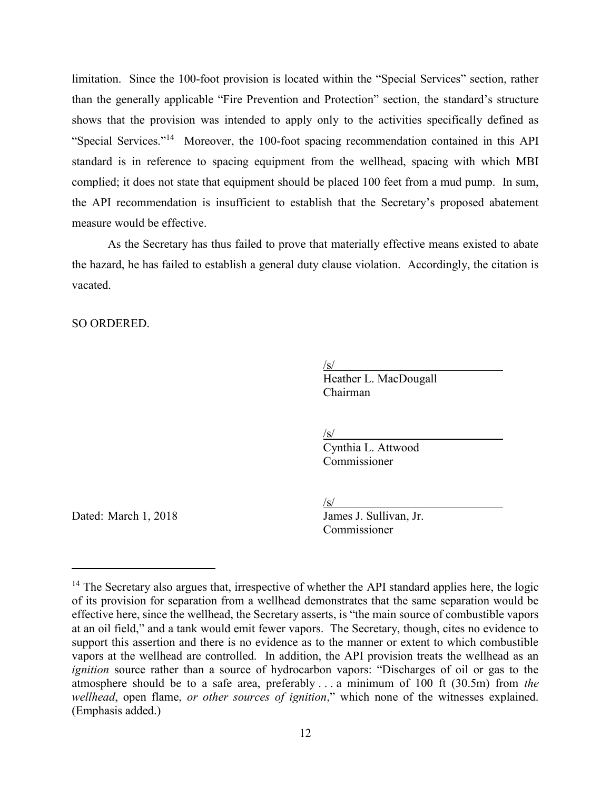limitation. Since the 100-foot provision is located within the "Special Services" section, rather than the generally applicable "Fire Prevention and Protection" section, the standard's structure shows that the provision was intended to apply only to the activities specifically defined as "Special Services."<sup>14</sup> Moreover, the 100-foot spacing recommendation contained in this API standard is in reference to spacing equipment from the wellhead, spacing with which MBI complied; it does not state that equipment should be placed 100 feet from a mud pump. In sum, the API recommendation is insufficient to establish that the Secretary's proposed abatement measure would be effective.

As the Secretary has thus failed to prove that materially effective means existed to abate the hazard, he has failed to establish a general duty clause violation. Accordingly, the citation is vacated.

SO ORDERED.

 $\sqrt{s}$ /s/

Heather L. MacDougall Chairman

 $\sqrt{s}$ /

Cynthia L. Attwood Commissioner

<u>/s/</u><br>James J. Sullivan. Jr. Commissioner

Dated: March 1, 2018

 $14$  The Secretary also argues that, irrespective of whether the API standard applies here, the logic of its provision for separation from a wellhead demonstrates that the same separation would be effective here, since the wellhead, the Secretary asserts, is "the main source of combustible vapors at an oil field," and a tank would emit fewer vapors. The Secretary, though, cites no evidence to support this assertion and there is no evidence as to the manner or extent to which combustible vapors at the wellhead are controlled. In addition, the API provision treats the wellhead as an *ignition* source rather than a source of hydrocarbon vapors: "Discharges of oil or gas to the atmosphere should be to a safe area, preferably . . . a minimum of 100 ft (30.5m) from *the wellhead*, open flame, *or other sources of ignition*," which none of the witnesses explained. (Emphasis added.)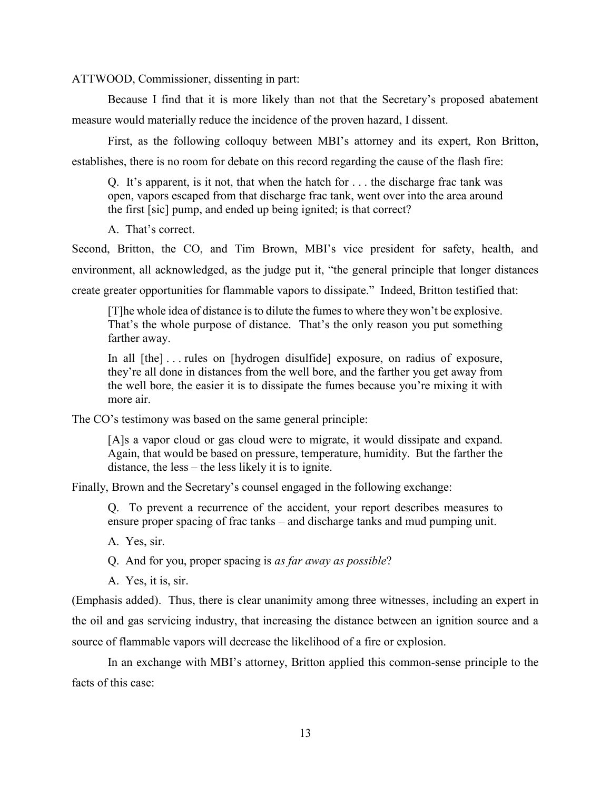ATTWOOD, Commissioner, dissenting in part:

Because I find that it is more likely than not that the Secretary's proposed abatement measure would materially reduce the incidence of the proven hazard, I dissent.

First, as the following colloquy between MBI's attorney and its expert, Ron Britton, establishes, there is no room for debate on this record regarding the cause of the flash fire:

Q. It's apparent, is it not, that when the hatch for . . . the discharge frac tank was open, vapors escaped from that discharge frac tank, went over into the area around the first [sic] pump, and ended up being ignited; is that correct?

A. That's correct.

Second, Britton, the CO, and Tim Brown, MBI's vice president for safety, health, and environment, all acknowledged, as the judge put it, "the general principle that longer distances create greater opportunities for flammable vapors to dissipate." Indeed, Britton testified that:

[T]he whole idea of distance is to dilute the fumes to where they won't be explosive. That's the whole purpose of distance. That's the only reason you put something farther away.

In all [the] . . . rules on [hydrogen disulfide] exposure, on radius of exposure, they're all done in distances from the well bore, and the farther you get away from the well bore, the easier it is to dissipate the fumes because you're mixing it with more air.

The CO's testimony was based on the same general principle:

[A]s a vapor cloud or gas cloud were to migrate, it would dissipate and expand. Again, that would be based on pressure, temperature, humidity. But the farther the distance, the less – the less likely it is to ignite.

Finally, Brown and the Secretary's counsel engaged in the following exchange:

Q. To prevent a recurrence of the accident, your report describes measures to ensure proper spacing of frac tanks – and discharge tanks and mud pumping unit.

A. Yes, sir.

Q. And for you, proper spacing is *as far away as possible*?

A. Yes, it is, sir.

(Emphasis added). Thus, there is clear unanimity among three witnesses, including an expert in the oil and gas servicing industry, that increasing the distance between an ignition source and a source of flammable vapors will decrease the likelihood of a fire or explosion.

In an exchange with MBI's attorney, Britton applied this common-sense principle to the facts of this case: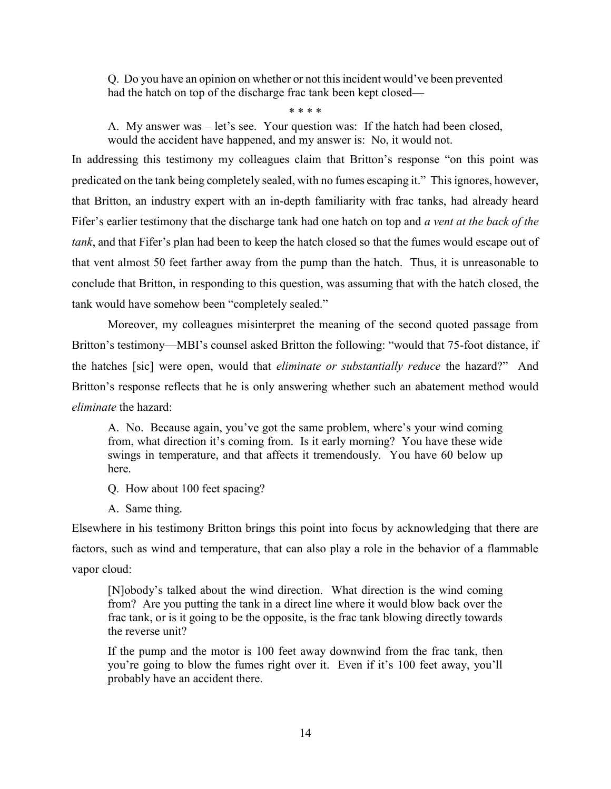Q. Do you have an opinion on whether or not this incident would've been prevented had the hatch on top of the discharge frac tank been kept closed—

\* \* \* \*

A. My answer was – let's see. Your question was: If the hatch had been closed, would the accident have happened, and my answer is: No, it would not.

In addressing this testimony my colleagues claim that Britton's response "on this point was predicated on the tank being completely sealed, with no fumes escaping it." This ignores, however, that Britton, an industry expert with an in-depth familiarity with frac tanks, had already heard Fifer's earlier testimony that the discharge tank had one hatch on top and *a vent at the back of the tank*, and that Fifer's plan had been to keep the hatch closed so that the fumes would escape out of that vent almost 50 feet farther away from the pump than the hatch. Thus, it is unreasonable to conclude that Britton, in responding to this question, was assuming that with the hatch closed, the tank would have somehow been "completely sealed."

Moreover, my colleagues misinterpret the meaning of the second quoted passage from Britton's testimony—MBI's counsel asked Britton the following: "would that 75-foot distance, if the hatches [sic] were open, would that *eliminate or substantially reduce* the hazard?" And Britton's response reflects that he is only answering whether such an abatement method would *eliminate* the hazard:

A. No. Because again, you've got the same problem, where's your wind coming from, what direction it's coming from. Is it early morning? You have these wide swings in temperature, and that affects it tremendously. You have 60 below up here.

- Q. How about 100 feet spacing?
- A. Same thing.

Elsewhere in his testimony Britton brings this point into focus by acknowledging that there are factors, such as wind and temperature, that can also play a role in the behavior of a flammable vapor cloud:

[N]obody's talked about the wind direction. What direction is the wind coming from? Are you putting the tank in a direct line where it would blow back over the frac tank, or is it going to be the opposite, is the frac tank blowing directly towards the reverse unit?

If the pump and the motor is 100 feet away downwind from the frac tank, then you're going to blow the fumes right over it. Even if it's 100 feet away, you'll probably have an accident there.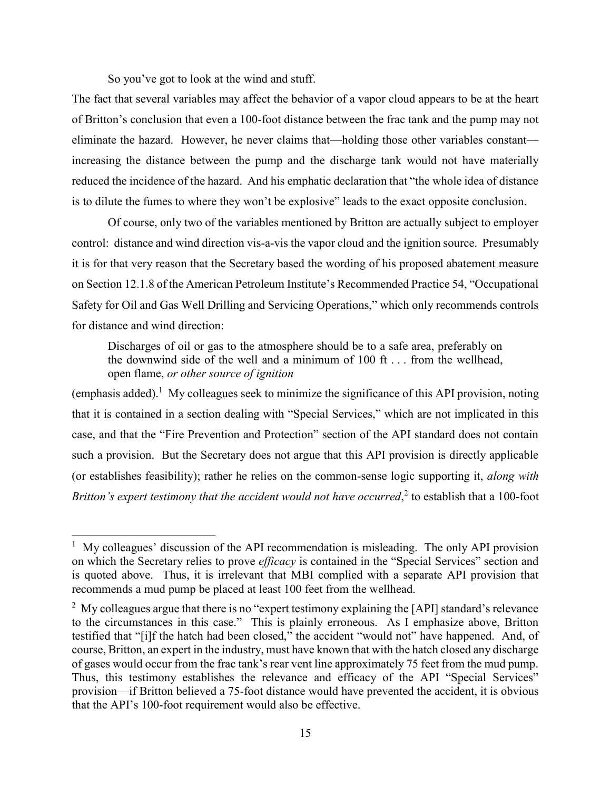So you've got to look at the wind and stuff.

 $\overline{a}$ 

The fact that several variables may affect the behavior of a vapor cloud appears to be at the heart of Britton's conclusion that even a 100-foot distance between the frac tank and the pump may not eliminate the hazard. However, he never claims that—holding those other variables constant increasing the distance between the pump and the discharge tank would not have materially reduced the incidence of the hazard. And his emphatic declaration that "the whole idea of distance is to dilute the fumes to where they won't be explosive" leads to the exact opposite conclusion.

Of course, only two of the variables mentioned by Britton are actually subject to employer control: distance and wind direction vis-a-vis the vapor cloud and the ignition source. Presumably it is for that very reason that the Secretary based the wording of his proposed abatement measure on Section 12.1.8 of the American Petroleum Institute's Recommended Practice 54, "Occupational Safety for Oil and Gas Well Drilling and Servicing Operations," which only recommends controls for distance and wind direction:

Discharges of oil or gas to the atmosphere should be to a safe area, preferably on the downwind side of the well and a minimum of 100 ft . . . from the wellhead, open flame, *or other source of ignition*

(emphasis added).<sup>1</sup> My colleagues seek to minimize the significance of this API provision, noting that it is contained in a section dealing with "Special Services," which are not implicated in this case, and that the "Fire Prevention and Protection" section of the API standard does not contain such a provision. But the Secretary does not argue that this API provision is directly applicable (or establishes feasibility); rather he relies on the common-sense logic supporting it, *along with Britton's expert testimony that the accident would not have occurred*, 2 to establish that a 100-foot

<sup>&</sup>lt;sup>1</sup> My colleagues' discussion of the API recommendation is misleading. The only API provision on which the Secretary relies to prove *efficacy* is contained in the "Special Services" section and is quoted above. Thus, it is irrelevant that MBI complied with a separate API provision that recommends a mud pump be placed at least 100 feet from the wellhead.

<sup>&</sup>lt;sup>2</sup> My colleagues argue that there is no "expert testimony explaining the [API] standard's relevance to the circumstances in this case." This is plainly erroneous. As I emphasize above, Britton testified that "[i]f the hatch had been closed," the accident "would not" have happened. And, of course, Britton, an expert in the industry, must have known that with the hatch closed any discharge of gases would occur from the frac tank's rear vent line approximately 75 feet from the mud pump. Thus, this testimony establishes the relevance and efficacy of the API "Special Services" provision—if Britton believed a 75-foot distance would have prevented the accident, it is obvious that the API's 100-foot requirement would also be effective.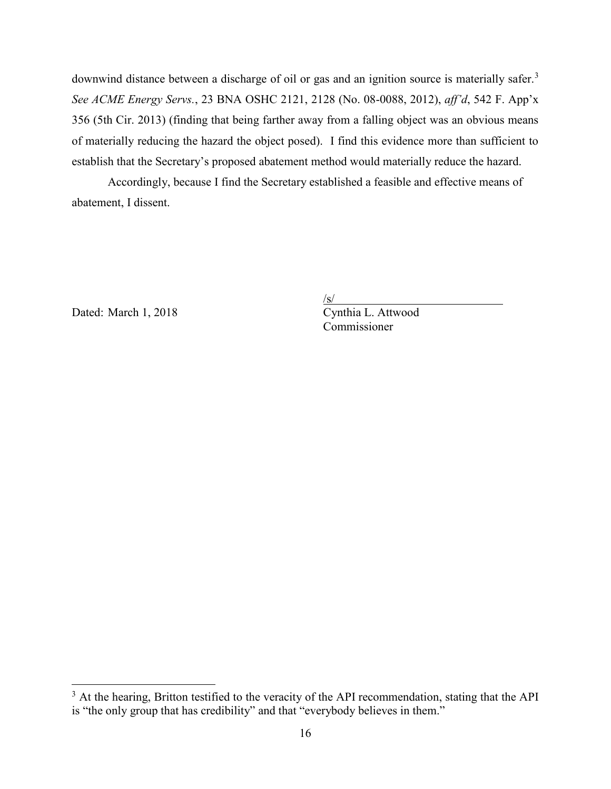downwind distance between a discharge of oil or gas and an ignition source is materially safer.<sup>3</sup> *See ACME Energy Servs.*, 23 BNA OSHC 2121, 2128 (No. 08-0088, 2012), *aff'd*, 542 F. App'x 356 (5th Cir. 2013) (finding that being farther away from a falling object was an obvious means of materially reducing the hazard the object posed). I find this evidence more than sufficient to establish that the Secretary's proposed abatement method would materially reduce the hazard.

Accordingly, because I find the Secretary established a feasible and effective means of abatement, I dissent.

Dated: March 1, 2018 Cynthia L. Attwood

 $\overline{a}$ 

 $\sqrt{s/}$ Commissioner

 $3$  At the hearing, Britton testified to the veracity of the API recommendation, stating that the API is "the only group that has credibility" and that "everybody believes in them."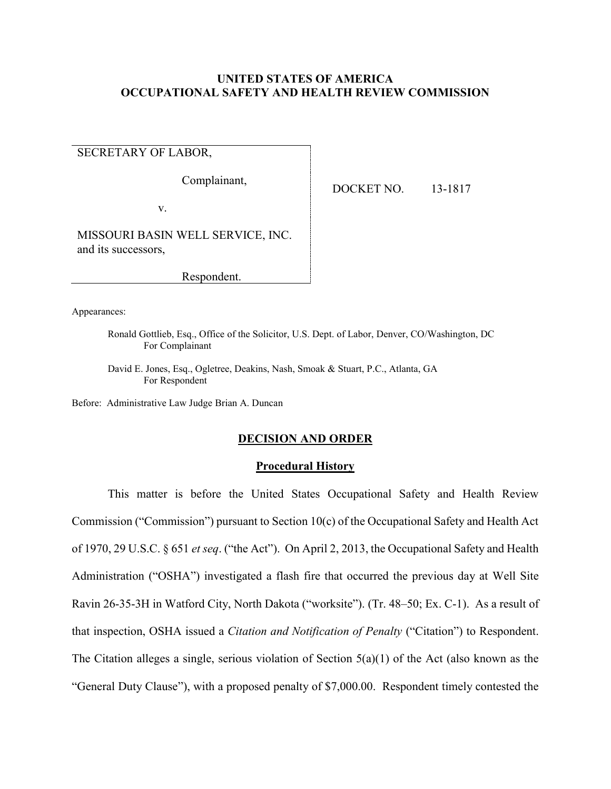# **UNITED STATES OF AMERICA OCCUPATIONAL SAFETY AND HEALTH REVIEW COMMISSION**

SECRETARY OF LABOR,

Complainant,

v.

DOCKET NO. 13-1817

MISSOURI BASIN WELL SERVICE, INC. and its successors,

Respondent.

Appearances:

Ronald Gottlieb, Esq., Office of the Solicitor, U.S. Dept. of Labor, Denver, CO/Washington, DC For Complainant

David E. Jones, Esq., Ogletree, Deakins, Nash, Smoak & Stuart, P.C., Atlanta, GA For Respondent

Before: Administrative Law Judge Brian A. Duncan

## **DECISION AND ORDER**

# **Procedural History**

This matter is before the United States Occupational Safety and Health Review Commission ("Commission") pursuant to Section 10(c) of the Occupational Safety and Health Act of 1970, 29 U.S.C. § 651 *et seq*. ("the Act"). On April 2, 2013, the Occupational Safety and Health Administration ("OSHA") investigated a flash fire that occurred the previous day at Well Site Ravin 26-35-3H in Watford City, North Dakota ("worksite"). (Tr. 48–50; Ex. C-1). As a result of that inspection, OSHA issued a *Citation and Notification of Penalty* ("Citation") to Respondent. The Citation alleges a single, serious violation of Section 5(a)(1) of the Act (also known as the "General Duty Clause"), with a proposed penalty of \$7,000.00. Respondent timely contested the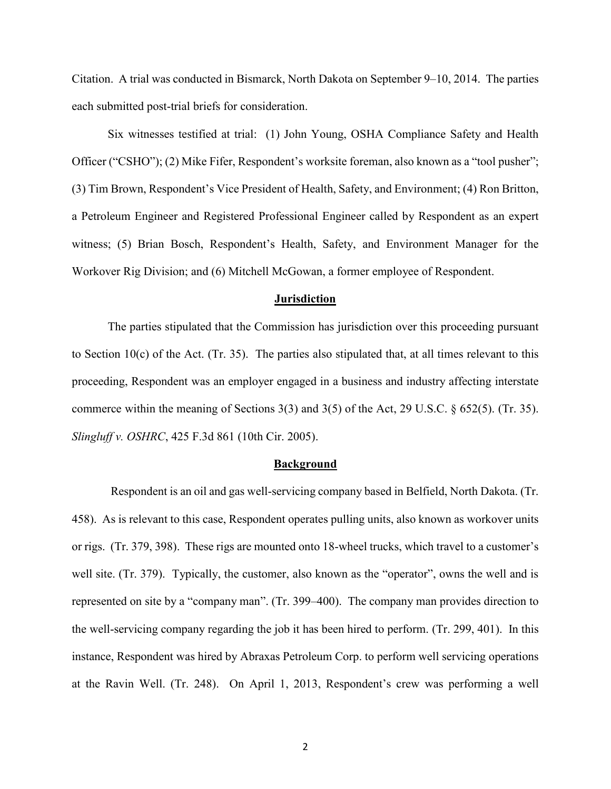Citation. A trial was conducted in Bismarck, North Dakota on September 9–10, 2014. The parties each submitted post-trial briefs for consideration.

Six witnesses testified at trial: (1) John Young, OSHA Compliance Safety and Health Officer ("CSHO"); (2) Mike Fifer, Respondent's worksite foreman, also known as a "tool pusher"; (3) Tim Brown, Respondent's Vice President of Health, Safety, and Environment; (4) Ron Britton, a Petroleum Engineer and Registered Professional Engineer called by Respondent as an expert witness; (5) Brian Bosch, Respondent's Health, Safety, and Environment Manager for the Workover Rig Division; and (6) Mitchell McGowan, a former employee of Respondent.

## **Jurisdiction**

The parties stipulated that the Commission has jurisdiction over this proceeding pursuant to Section 10(c) of the Act. (Tr. 35). The parties also stipulated that, at all times relevant to this proceeding, Respondent was an employer engaged in a business and industry affecting interstate commerce within the meaning of Sections 3(3) and 3(5) of the Act, 29 U.S.C. § 652(5). (Tr. 35). *Slingluff v. OSHRC*, 425 F.3d 861 (10th Cir. 2005).

#### **Background**

Respondent is an oil and gas well-servicing company based in Belfield, North Dakota. (Tr. 458). As is relevant to this case, Respondent operates pulling units, also known as workover units or rigs. (Tr. 379, 398). These rigs are mounted onto 18-wheel trucks, which travel to a customer's well site. (Tr. 379). Typically, the customer, also known as the "operator", owns the well and is represented on site by a "company man". (Tr. 399–400). The company man provides direction to the well-servicing company regarding the job it has been hired to perform. (Tr. 299, 401). In this instance, Respondent was hired by Abraxas Petroleum Corp. to perform well servicing operations at the Ravin Well. (Tr. 248). On April 1, 2013, Respondent's crew was performing a well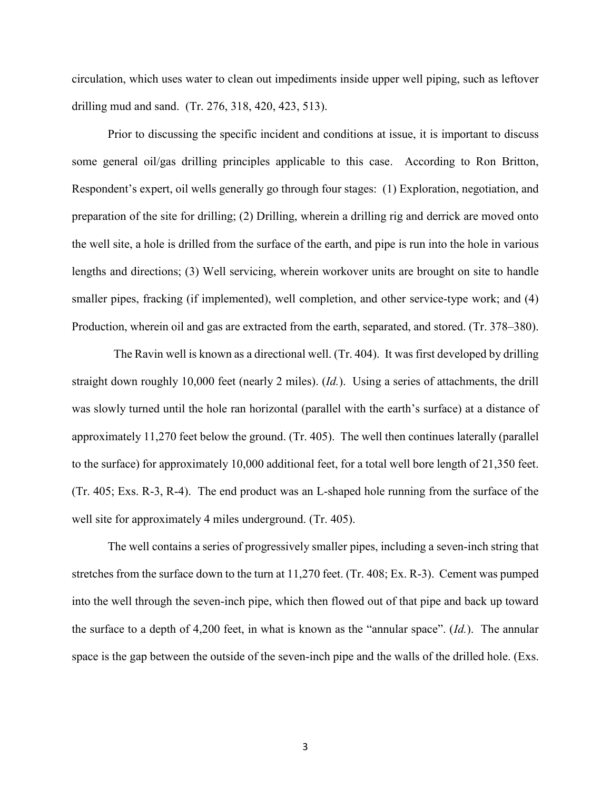circulation, which uses water to clean out impediments inside upper well piping, such as leftover drilling mud and sand. (Tr. 276, 318, 420, 423, 513).

Prior to discussing the specific incident and conditions at issue, it is important to discuss some general oil/gas drilling principles applicable to this case. According to Ron Britton, Respondent's expert, oil wells generally go through four stages: (1) Exploration, negotiation, and preparation of the site for drilling; (2) Drilling, wherein a drilling rig and derrick are moved onto the well site, a hole is drilled from the surface of the earth, and pipe is run into the hole in various lengths and directions; (3) Well servicing, wherein workover units are brought on site to handle smaller pipes, fracking (if implemented), well completion, and other service-type work; and (4) Production, wherein oil and gas are extracted from the earth, separated, and stored. (Tr. 378–380).

 The Ravin well is known as a directional well. (Tr. 404). It was first developed by drilling straight down roughly 10,000 feet (nearly 2 miles). (*Id.*). Using a series of attachments, the drill was slowly turned until the hole ran horizontal (parallel with the earth's surface) at a distance of approximately 11,270 feet below the ground. (Tr. 405). The well then continues laterally (parallel to the surface) for approximately 10,000 additional feet, for a total well bore length of 21,350 feet. (Tr. 405; Exs. R-3, R-4). The end product was an L-shaped hole running from the surface of the well site for approximately 4 miles underground. (Tr. 405).

The well contains a series of progressively smaller pipes, including a seven-inch string that stretches from the surface down to the turn at 11,270 feet. (Tr. 408; Ex. R-3). Cement was pumped into the well through the seven-inch pipe, which then flowed out of that pipe and back up toward the surface to a depth of 4,200 feet, in what is known as the "annular space". (*Id.*). The annular space is the gap between the outside of the seven-inch pipe and the walls of the drilled hole. (Exs.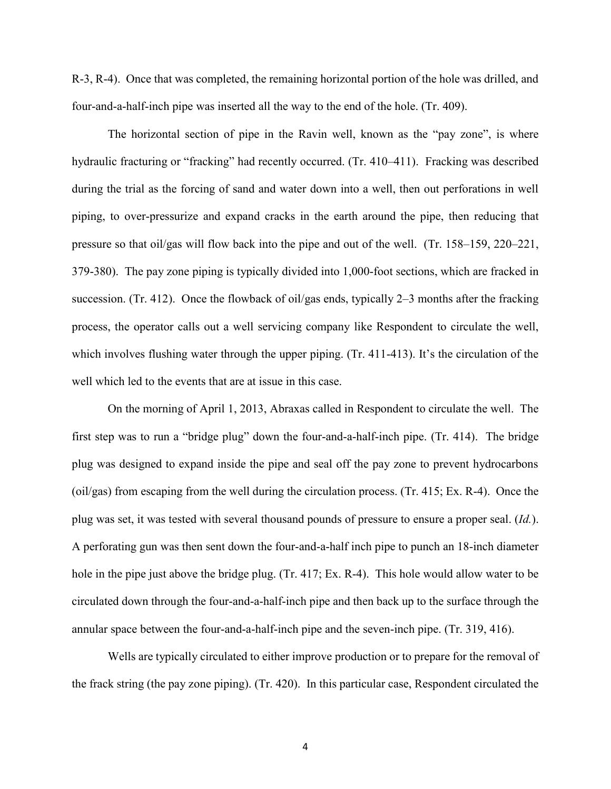R-3, R-4). Once that was completed, the remaining horizontal portion of the hole was drilled, and four-and-a-half-inch pipe was inserted all the way to the end of the hole. (Tr. 409).

The horizontal section of pipe in the Ravin well, known as the "pay zone", is where hydraulic fracturing or "fracking" had recently occurred. (Tr. 410–411). Fracking was described during the trial as the forcing of sand and water down into a well, then out perforations in well piping, to over-pressurize and expand cracks in the earth around the pipe, then reducing that pressure so that oil/gas will flow back into the pipe and out of the well. (Tr. 158–159, 220–221, 379-380). The pay zone piping is typically divided into 1,000-foot sections, which are fracked in succession. (Tr. 412). Once the flowback of oil/gas ends, typically 2–3 months after the fracking process, the operator calls out a well servicing company like Respondent to circulate the well, which involves flushing water through the upper piping. (Tr. 411-413). It's the circulation of the well which led to the events that are at issue in this case.

On the morning of April 1, 2013, Abraxas called in Respondent to circulate the well. The first step was to run a "bridge plug" down the four-and-a-half-inch pipe. (Tr. 414). The bridge plug was designed to expand inside the pipe and seal off the pay zone to prevent hydrocarbons (oil/gas) from escaping from the well during the circulation process. (Tr. 415; Ex. R-4). Once the plug was set, it was tested with several thousand pounds of pressure to ensure a proper seal. (*Id.*). A perforating gun was then sent down the four-and-a-half inch pipe to punch an 18-inch diameter hole in the pipe just above the bridge plug. (Tr. 417; Ex. R-4). This hole would allow water to be circulated down through the four-and-a-half-inch pipe and then back up to the surface through the annular space between the four-and-a-half-inch pipe and the seven-inch pipe. (Tr. 319, 416).

Wells are typically circulated to either improve production or to prepare for the removal of the frack string (the pay zone piping). (Tr. 420). In this particular case, Respondent circulated the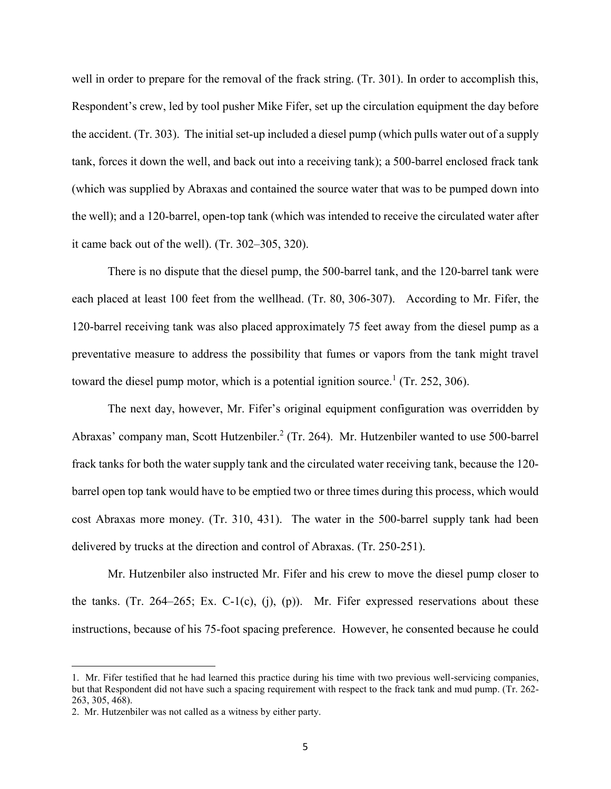well in order to prepare for the removal of the frack string. (Tr. 301). In order to accomplish this, Respondent's crew, led by tool pusher Mike Fifer, set up the circulation equipment the day before the accident. (Tr. 303). The initial set-up included a diesel pump (which pulls water out of a supply tank, forces it down the well, and back out into a receiving tank); a 500-barrel enclosed frack tank (which was supplied by Abraxas and contained the source water that was to be pumped down into the well); and a 120-barrel, open-top tank (which was intended to receive the circulated water after it came back out of the well). (Tr. 302–305, 320).

There is no dispute that the diesel pump, the 500-barrel tank, and the 120-barrel tank were each placed at least 100 feet from the wellhead. (Tr. 80, 306-307). According to Mr. Fifer, the 120-barrel receiving tank was also placed approximately 75 feet away from the diesel pump as a preventative measure to address the possibility that fumes or vapors from the tank might travel toward the diesel pump motor, which is a potential ignition source.<sup>1</sup> (Tr. 252, 306).

The next day, however, Mr. Fifer's original equipment configuration was overridden by Abraxas' company man, Scott Hutzenbiler.<sup>2</sup> (Tr. 264). Mr. Hutzenbiler wanted to use 500-barrel frack tanks for both the water supply tank and the circulated water receiving tank, because the 120 barrel open top tank would have to be emptied two or three times during this process, which would cost Abraxas more money. (Tr. 310, 431). The water in the 500-barrel supply tank had been delivered by trucks at the direction and control of Abraxas. (Tr. 250-251).

Mr. Hutzenbiler also instructed Mr. Fifer and his crew to move the diesel pump closer to the tanks. (Tr. 264–265; Ex. C-1(c), (j), (p)). Mr. Fifer expressed reservations about these instructions, because of his 75-foot spacing preference. However, he consented because he could

 $\overline{a}$ 

<sup>1.</sup> Mr. Fifer testified that he had learned this practice during his time with two previous well-servicing companies, but that Respondent did not have such a spacing requirement with respect to the frack tank and mud pump. (Tr. 262- 263, 305, 468).

<sup>2.</sup> Mr. Hutzenbiler was not called as a witness by either party.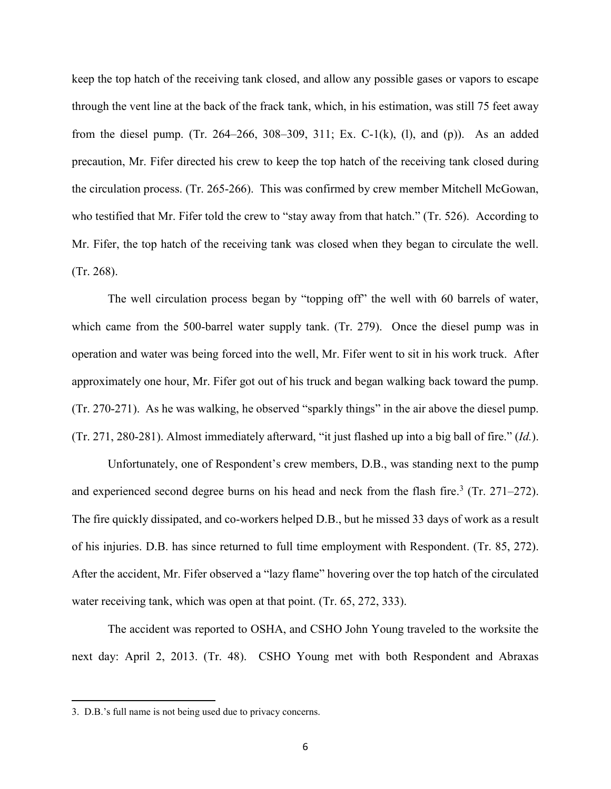keep the top hatch of the receiving tank closed, and allow any possible gases or vapors to escape through the vent line at the back of the frack tank, which, in his estimation, was still 75 feet away from the diesel pump. (Tr. 264–266, 308–309, 311; Ex. C-1(k), (l), and (p)). As an added precaution, Mr. Fifer directed his crew to keep the top hatch of the receiving tank closed during the circulation process. (Tr. 265-266). This was confirmed by crew member Mitchell McGowan, who testified that Mr. Fifer told the crew to "stay away from that hatch." (Tr. 526). According to Mr. Fifer, the top hatch of the receiving tank was closed when they began to circulate the well. (Tr. 268).

The well circulation process began by "topping off" the well with 60 barrels of water, which came from the 500-barrel water supply tank. (Tr. 279). Once the diesel pump was in operation and water was being forced into the well, Mr. Fifer went to sit in his work truck. After approximately one hour, Mr. Fifer got out of his truck and began walking back toward the pump. (Tr. 270-271). As he was walking, he observed "sparkly things" in the air above the diesel pump. (Tr. 271, 280-281). Almost immediately afterward, "it just flashed up into a big ball of fire." (*Id.*).

Unfortunately, one of Respondent's crew members, D.B., was standing next to the pump and experienced second degree burns on his head and neck from the flash fire.<sup>3</sup> (Tr. 271–272). The fire quickly dissipated, and co-workers helped D.B., but he missed 33 days of work as a result of his injuries. D.B. has since returned to full time employment with Respondent. (Tr. 85, 272). After the accident, Mr. Fifer observed a "lazy flame" hovering over the top hatch of the circulated water receiving tank, which was open at that point. (Tr. 65, 272, 333).

The accident was reported to OSHA, and CSHO John Young traveled to the worksite the next day: April 2, 2013. (Tr. 48). CSHO Young met with both Respondent and Abraxas

<sup>3.</sup> D.B.'s full name is not being used due to privacy concerns.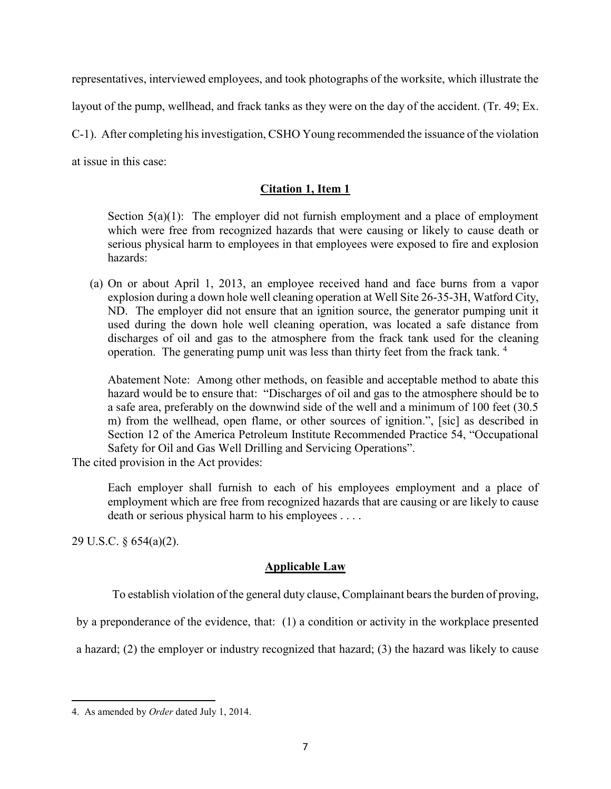representatives, interviewed employees, and took photographs of the worksite, which illustrate the

layout of the pump, wellhead, and frack tanks as they were on the day of the accident. (Tr. 49; Ex.

C-1). After completing his investigation, CSHO Young recommended the issuance of the violation

at issue in this case:

# **Citation 1, Item 1**

Section  $5(a)(1)$ : The employer did not furnish employment and a place of employment which were free from recognized hazards that were causing or likely to cause death or serious physical harm to employees in that employees were exposed to fire and explosion hazards:

(a) On or about April 1, 2013, an employee received hand and face burns from a vapor explosion during a down hole well cleaning operation at Well Site 26-35-3H, Watford City, ND. The employer did not ensure that an ignition source, the generator pumping unit it used during the down hole well cleaning operation, was located a safe distance from discharges of oil and gas to the atmosphere from the frack tank used for the cleaning operation. The generating pump unit was less than thirty feet from the frack tank. <sup>4</sup>

Abatement Note: Among other methods, on feasible and acceptable method to abate this hazard would be to ensure that: "Discharges of oil and gas to the atmosphere should be to a safe area, preferably on the downwind side of the well and a minimum of 100 feet (30.5 m) from the wellhead, open flame, or other sources of ignition.", [sic] as described in Section 12 of the America Petroleum Institute Recommended Practice 54, "Occupational Safety for Oil and Gas Well Drilling and Servicing Operations".

The cited provision in the Act provides:

Each employer shall furnish to each of his employees employment and a place of employment which are free from recognized hazards that are causing or are likely to cause death or serious physical harm to his employees . . . .

29 U.S.C. § 654(a)(2).

 $\overline{\phantom{a}}$ 

# **Applicable Law**

To establish violation of the general duty clause, Complainant bears the burden of proving,

by a preponderance of the evidence, that: (1) a condition or activity in the workplace presented

a hazard; (2) the employer or industry recognized that hazard; (3) the hazard was likely to cause

<sup>4.</sup> As amended by *Order* dated July 1, 2014.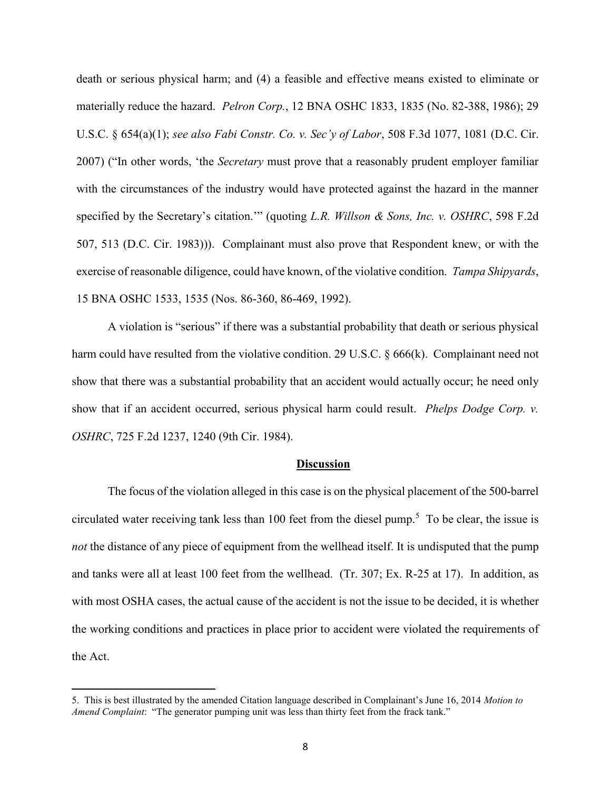death or serious physical harm; and (4) a feasible and effective means existed to eliminate or materially reduce the hazard. *Pelron Corp.*, 12 BNA OSHC 1833, 1835 (No. 82-388, 1986); 29 U.S.C. § 654(a)(1); *see also Fabi Constr. Co. v. Sec'y of Labor*, 508 F.3d 1077, 1081 (D.C. Cir. 2007) ("In other words, 'the *Secretary* must prove that a reasonably prudent employer familiar with the circumstances of the industry would have protected against the hazard in the manner specified by the Secretary's citation.'" (quoting *L.R. Willson & Sons, Inc. v. OSHRC*, 598 F.2d 507, 513 (D.C. Cir. 1983))). Complainant must also prove that Respondent knew, or with the exercise of reasonable diligence, could have known, of the violative condition. *Tampa Shipyards*, 15 BNA OSHC 1533, 1535 (Nos. 86-360, 86-469, 1992).

A violation is "serious" if there was a substantial probability that death or serious physical harm could have resulted from the violative condition. 29 U.S.C. § 666(k). Complainant need not show that there was a substantial probability that an accident would actually occur; he need only show that if an accident occurred, serious physical harm could result. *Phelps Dodge Corp. v. OSHRC*, 725 F.2d 1237, 1240 (9th Cir. 1984).

### **Discussion**

The focus of the violation alleged in this case is on the physical placement of the 500-barrel circulated water receiving tank less than 100 feet from the diesel pump.<sup>5</sup> To be clear, the issue is *not* the distance of any piece of equipment from the wellhead itself. It is undisputed that the pump and tanks were all at least 100 feet from the wellhead. (Tr. 307; Ex. R-25 at 17). In addition, as with most OSHA cases, the actual cause of the accident is not the issue to be decided, it is whether the working conditions and practices in place prior to accident were violated the requirements of the Act.

 $\overline{a}$ 

<sup>5.</sup> This is best illustrated by the amended Citation language described in Complainant's June 16, 2014 *Motion to Amend Complaint*: "The generator pumping unit was less than thirty feet from the frack tank."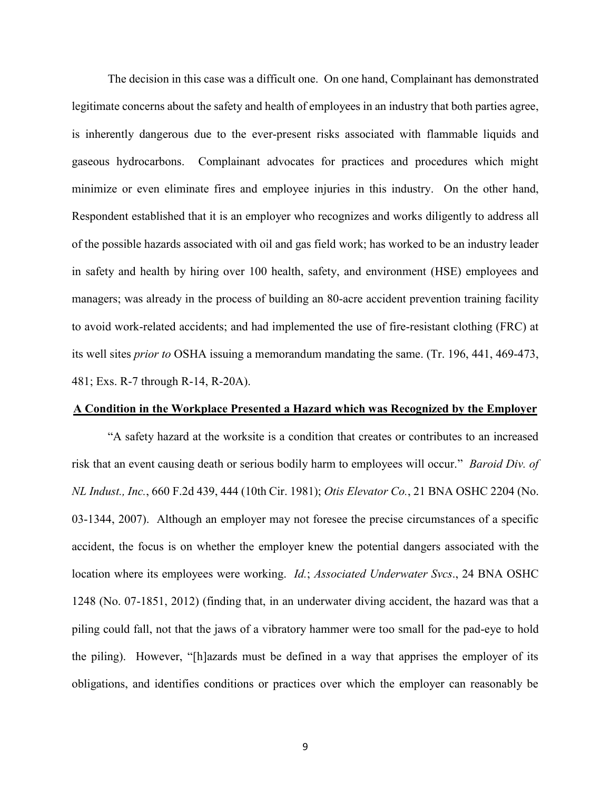The decision in this case was a difficult one. On one hand, Complainant has demonstrated legitimate concerns about the safety and health of employees in an industry that both parties agree, is inherently dangerous due to the ever-present risks associated with flammable liquids and gaseous hydrocarbons. Complainant advocates for practices and procedures which might minimize or even eliminate fires and employee injuries in this industry. On the other hand, Respondent established that it is an employer who recognizes and works diligently to address all of the possible hazards associated with oil and gas field work; has worked to be an industry leader in safety and health by hiring over 100 health, safety, and environment (HSE) employees and managers; was already in the process of building an 80-acre accident prevention training facility to avoid work-related accidents; and had implemented the use of fire-resistant clothing (FRC) at its well sites *prior to* OSHA issuing a memorandum mandating the same. (Tr. 196, 441, 469-473, 481; Exs. R-7 through R-14, R-20A).

## **A Condition in the Workplace Presented a Hazard which was Recognized by the Employer**

"A safety hazard at the worksite is a condition that creates or contributes to an increased risk that an event causing death or serious bodily harm to employees will occur." *Baroid Div. of NL Indust., Inc.*, 660 F.2d 439, 444 (10th Cir. 1981); *Otis Elevator Co.*, 21 BNA OSHC 2204 (No. 03-1344, 2007). Although an employer may not foresee the precise circumstances of a specific accident, the focus is on whether the employer knew the potential dangers associated with the location where its employees were working. *Id.*; *Associated Underwater Svcs*., 24 BNA OSHC 1248 (No. 07-1851, 2012) (finding that, in an underwater diving accident, the hazard was that a piling could fall, not that the jaws of a vibratory hammer were too small for the pad-eye to hold the piling). However, "[h]azards must be defined in a way that apprises the employer of its obligations, and identifies conditions or practices over which the employer can reasonably be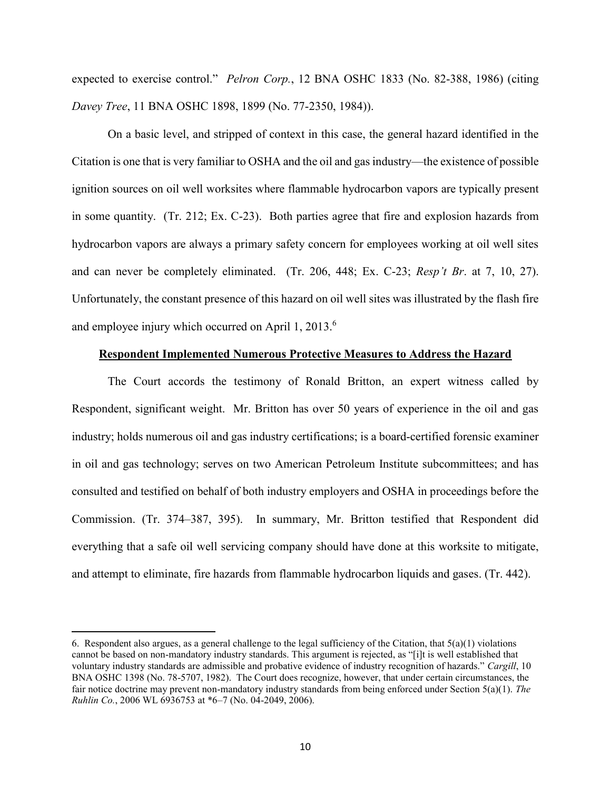expected to exercise control." *Pelron Corp.*, 12 BNA OSHC 1833 (No. 82-388, 1986) (citing *Davey Tree*, 11 BNA OSHC 1898, 1899 (No. 77-2350, 1984)).

On a basic level, and stripped of context in this case, the general hazard identified in the Citation is one that is very familiar to OSHA and the oil and gas industry—the existence of possible ignition sources on oil well worksites where flammable hydrocarbon vapors are typically present in some quantity. (Tr. 212; Ex. C-23). Both parties agree that fire and explosion hazards from hydrocarbon vapors are always a primary safety concern for employees working at oil well sites and can never be completely eliminated. (Tr. 206, 448; Ex. C-23; *Resp't Br*. at 7, 10, 27). Unfortunately, the constant presence of this hazard on oil well sites was illustrated by the flash fire and employee injury which occurred on April 1, 2013. $^6$ 

# **Respondent Implemented Numerous Protective Measures to Address the Hazard**

The Court accords the testimony of Ronald Britton, an expert witness called by Respondent, significant weight. Mr. Britton has over 50 years of experience in the oil and gas industry; holds numerous oil and gas industry certifications; is a board-certified forensic examiner in oil and gas technology; serves on two American Petroleum Institute subcommittees; and has consulted and testified on behalf of both industry employers and OSHA in proceedings before the Commission. (Tr. 374–387, 395). In summary, Mr. Britton testified that Respondent did everything that a safe oil well servicing company should have done at this worksite to mitigate, and attempt to eliminate, fire hazards from flammable hydrocarbon liquids and gases. (Tr. 442).

<sup>6.</sup> Respondent also argues, as a general challenge to the legal sufficiency of the Citation, that  $5(a)(1)$  violations cannot be based on non-mandatory industry standards. This argument is rejected, as "[i]t is well established that voluntary industry standards are admissible and probative evidence of industry recognition of hazards." *Cargill*, 10 BNA OSHC 1398 (No. 78-5707, 1982). The Court does recognize, however, that under certain circumstances, the fair notice doctrine may prevent non-mandatory industry standards from being enforced under Section 5(a)(1). *The Ruhlin Co.*, 2006 WL 6936753 at \*6–7 (No. 04-2049, 2006).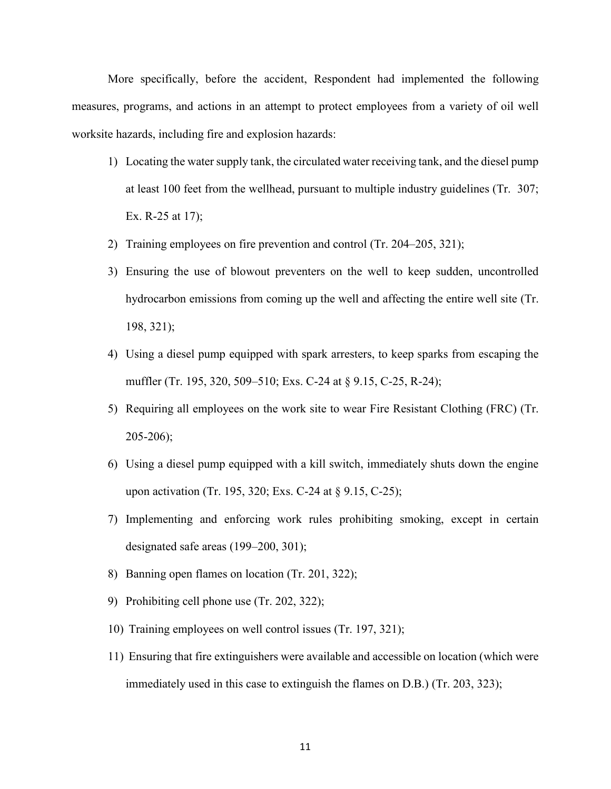More specifically, before the accident, Respondent had implemented the following measures, programs, and actions in an attempt to protect employees from a variety of oil well worksite hazards, including fire and explosion hazards:

- 1) Locating the water supply tank, the circulated water receiving tank, and the diesel pump at least 100 feet from the wellhead, pursuant to multiple industry guidelines (Tr. 307; Ex. R-25 at 17);
- 2) Training employees on fire prevention and control (Tr. 204–205, 321);
- 3) Ensuring the use of blowout preventers on the well to keep sudden, uncontrolled hydrocarbon emissions from coming up the well and affecting the entire well site (Tr. 198, 321);
- 4) Using a diesel pump equipped with spark arresters, to keep sparks from escaping the muffler (Tr. 195, 320, 509–510; Exs. C-24 at § 9.15, C-25, R-24);
- 5) Requiring all employees on the work site to wear Fire Resistant Clothing (FRC) (Tr. 205-206);
- 6) Using a diesel pump equipped with a kill switch, immediately shuts down the engine upon activation (Tr. 195, 320; Exs. C-24 at § 9.15, C-25);
- 7) Implementing and enforcing work rules prohibiting smoking, except in certain designated safe areas (199–200, 301);
- 8) Banning open flames on location (Tr. 201, 322);
- 9) Prohibiting cell phone use (Tr. 202, 322);
- 10) Training employees on well control issues (Tr. 197, 321);
- 11) Ensuring that fire extinguishers were available and accessible on location (which were immediately used in this case to extinguish the flames on D.B.) (Tr. 203, 323);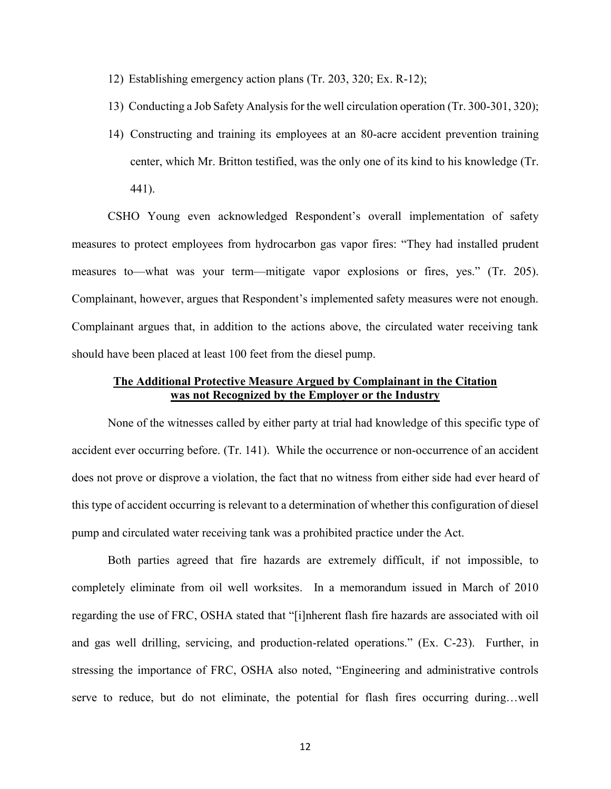- 12) Establishing emergency action plans (Tr. 203, 320; Ex. R-12);
- 13) Conducting a Job Safety Analysis for the well circulation operation (Tr. 300-301, 320);
- 14) Constructing and training its employees at an 80-acre accident prevention training center, which Mr. Britton testified, was the only one of its kind to his knowledge (Tr. 441).

CSHO Young even acknowledged Respondent's overall implementation of safety measures to protect employees from hydrocarbon gas vapor fires: "They had installed prudent measures to—what was your term—mitigate vapor explosions or fires, yes." (Tr. 205). Complainant, however, argues that Respondent's implemented safety measures were not enough. Complainant argues that, in addition to the actions above, the circulated water receiving tank should have been placed at least 100 feet from the diesel pump.

# **The Additional Protective Measure Argued by Complainant in the Citation was not Recognized by the Employer or the Industry**

None of the witnesses called by either party at trial had knowledge of this specific type of accident ever occurring before. (Tr. 141). While the occurrence or non-occurrence of an accident does not prove or disprove a violation, the fact that no witness from either side had ever heard of this type of accident occurring is relevant to a determination of whether this configuration of diesel pump and circulated water receiving tank was a prohibited practice under the Act.

Both parties agreed that fire hazards are extremely difficult, if not impossible, to completely eliminate from oil well worksites. In a memorandum issued in March of 2010 regarding the use of FRC, OSHA stated that "[i]nherent flash fire hazards are associated with oil and gas well drilling, servicing, and production-related operations." (Ex. C-23). Further, in stressing the importance of FRC, OSHA also noted, "Engineering and administrative controls serve to reduce, but do not eliminate, the potential for flash fires occurring during…well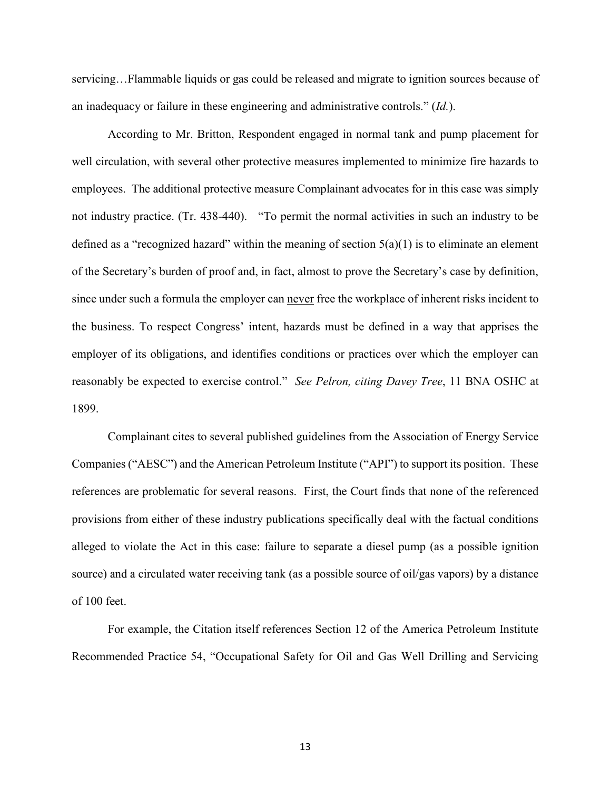servicing…Flammable liquids or gas could be released and migrate to ignition sources because of an inadequacy or failure in these engineering and administrative controls." (*Id.*).

According to Mr. Britton, Respondent engaged in normal tank and pump placement for well circulation, with several other protective measures implemented to minimize fire hazards to employees. The additional protective measure Complainant advocates for in this case was simply not industry practice. (Tr. 438-440). "To permit the normal activities in such an industry to be defined as a "recognized hazard" within the meaning of section  $5(a)(1)$  is to eliminate an element of the Secretary's burden of proof and, in fact, almost to prove the Secretary's case by definition, since under such a formula the employer can never free the workplace of inherent risks incident to the business. To respect Congress' intent, hazards must be defined in a way that apprises the employer of its obligations, and identifies conditions or practices over which the employer can reasonably be expected to exercise control." *See Pelron, citing Davey Tree*, 11 BNA OSHC at 1899.

Complainant cites to several published guidelines from the Association of Energy Service Companies ("AESC") and the American Petroleum Institute ("API") to support its position. These references are problematic for several reasons. First, the Court finds that none of the referenced provisions from either of these industry publications specifically deal with the factual conditions alleged to violate the Act in this case: failure to separate a diesel pump (as a possible ignition source) and a circulated water receiving tank (as a possible source of oil/gas vapors) by a distance of 100 feet.

For example, the Citation itself references Section 12 of the America Petroleum Institute Recommended Practice 54, "Occupational Safety for Oil and Gas Well Drilling and Servicing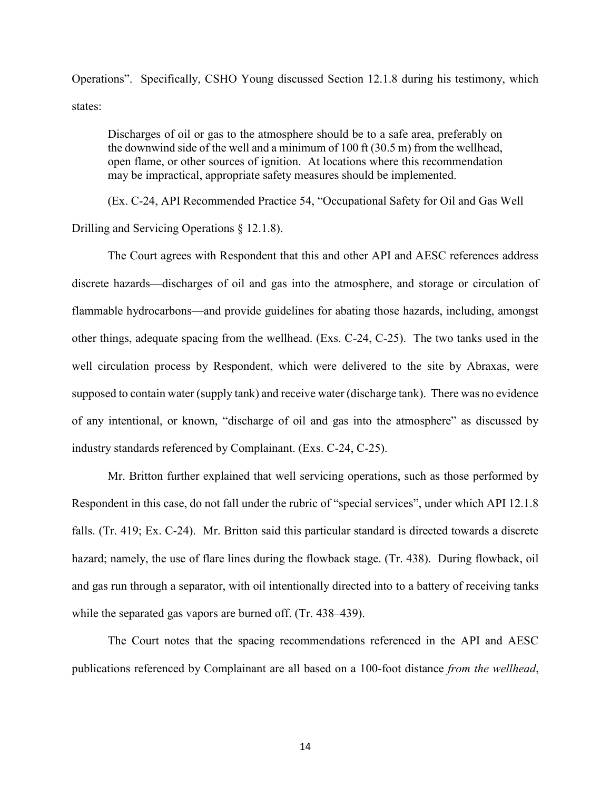Operations". Specifically, CSHO Young discussed Section 12.1.8 during his testimony, which states:

Discharges of oil or gas to the atmosphere should be to a safe area, preferably on the downwind side of the well and a minimum of 100 ft (30.5 m) from the wellhead, open flame, or other sources of ignition. At locations where this recommendation may be impractical, appropriate safety measures should be implemented.

(Ex. C-24, API Recommended Practice 54, "Occupational Safety for Oil and Gas Well

Drilling and Servicing Operations § 12.1.8).

The Court agrees with Respondent that this and other API and AESC references address discrete hazards—discharges of oil and gas into the atmosphere, and storage or circulation of flammable hydrocarbons—and provide guidelines for abating those hazards, including, amongst other things, adequate spacing from the wellhead. (Exs. C-24, C-25). The two tanks used in the well circulation process by Respondent, which were delivered to the site by Abraxas, were supposed to contain water (supply tank) and receive water (discharge tank). There was no evidence of any intentional, or known, "discharge of oil and gas into the atmosphere" as discussed by industry standards referenced by Complainant. (Exs. C-24, C-25).

Mr. Britton further explained that well servicing operations, such as those performed by Respondent in this case, do not fall under the rubric of "special services", under which API 12.1.8 falls. (Tr. 419; Ex. C-24). Mr. Britton said this particular standard is directed towards a discrete hazard; namely, the use of flare lines during the flowback stage. (Tr. 438). During flowback, oil and gas run through a separator, with oil intentionally directed into to a battery of receiving tanks while the separated gas vapors are burned off. (Tr. 438–439).

The Court notes that the spacing recommendations referenced in the API and AESC publications referenced by Complainant are all based on a 100-foot distance *from the wellhead*,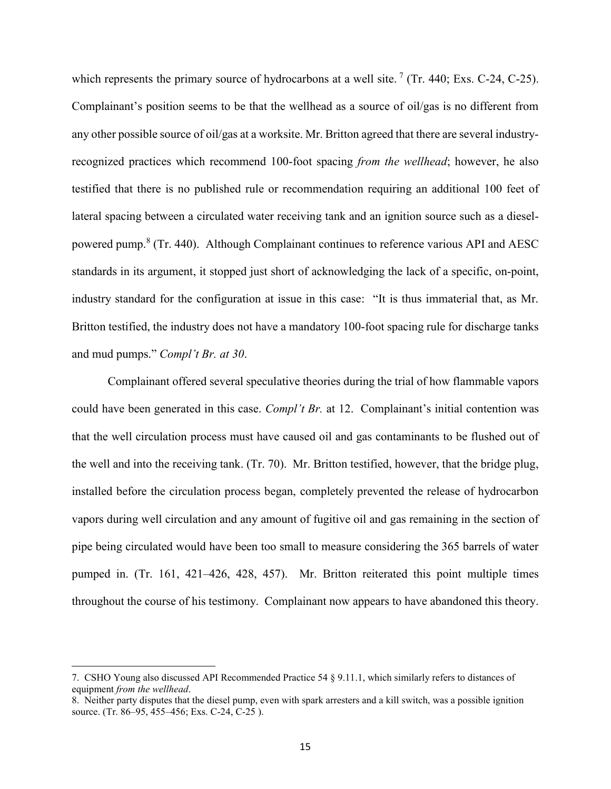which represents the primary source of hydrocarbons at a well site.<sup>7</sup> (Tr. 440; Exs. C-24, C-25). Complainant's position seems to be that the wellhead as a source of oil/gas is no different from any other possible source of oil/gas at a worksite. Mr. Britton agreed that there are several industryrecognized practices which recommend 100-foot spacing *from the wellhead*; however, he also testified that there is no published rule or recommendation requiring an additional 100 feet of lateral spacing between a circulated water receiving tank and an ignition source such as a dieselpowered pump.<sup>8</sup> (Tr. 440). Although Complainant continues to reference various API and AESC standards in its argument, it stopped just short of acknowledging the lack of a specific, on-point, industry standard for the configuration at issue in this case: "It is thus immaterial that, as Mr. Britton testified, the industry does not have a mandatory 100-foot spacing rule for discharge tanks and mud pumps." *Compl't Br. at 30*.

Complainant offered several speculative theories during the trial of how flammable vapors could have been generated in this case. *Compl't Br.* at 12. Complainant's initial contention was that the well circulation process must have caused oil and gas contaminants to be flushed out of the well and into the receiving tank. (Tr. 70). Mr. Britton testified, however, that the bridge plug, installed before the circulation process began, completely prevented the release of hydrocarbon vapors during well circulation and any amount of fugitive oil and gas remaining in the section of pipe being circulated would have been too small to measure considering the 365 barrels of water pumped in. (Tr. 161, 421–426, 428, 457). Mr. Britton reiterated this point multiple times throughout the course of his testimony. Complainant now appears to have abandoned this theory.

 $\overline{a}$ 

<sup>7.</sup> CSHO Young also discussed API Recommended Practice 54 § 9.11.1, which similarly refers to distances of equipment *from the wellhead*.

<sup>8.</sup> Neither party disputes that the diesel pump, even with spark arresters and a kill switch, was a possible ignition source. (Tr. 86–95, 455–456; Exs. C-24, C-25).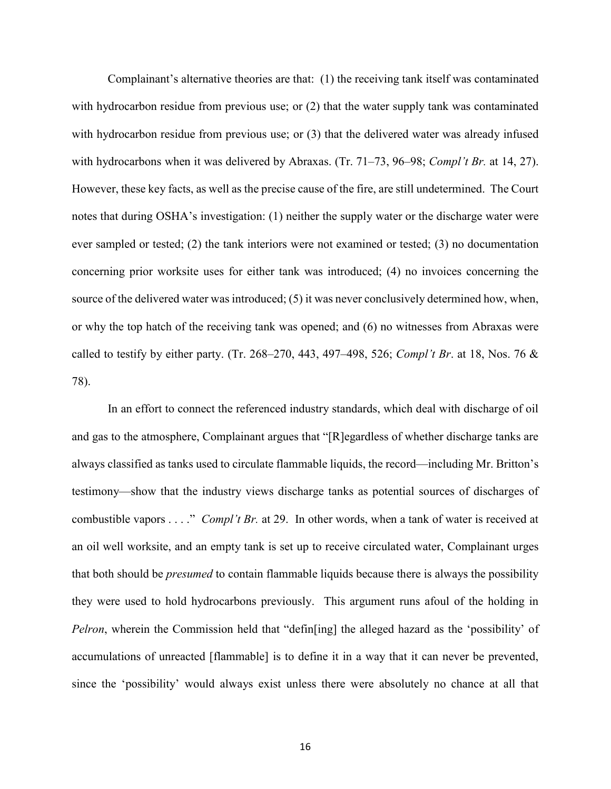Complainant's alternative theories are that: (1) the receiving tank itself was contaminated with hydrocarbon residue from previous use; or (2) that the water supply tank was contaminated with hydrocarbon residue from previous use; or (3) that the delivered water was already infused with hydrocarbons when it was delivered by Abraxas. (Tr. 71–73, 96–98; *Compl't Br.* at 14, 27). However, these key facts, as well as the precise cause of the fire, are still undetermined. The Court notes that during OSHA's investigation: (1) neither the supply water or the discharge water were ever sampled or tested; (2) the tank interiors were not examined or tested; (3) no documentation concerning prior worksite uses for either tank was introduced; (4) no invoices concerning the source of the delivered water was introduced; (5) it was never conclusively determined how, when, or why the top hatch of the receiving tank was opened; and (6) no witnesses from Abraxas were called to testify by either party. (Tr. 268–270, 443, 497–498, 526; *Compl't Br*. at 18, Nos. 76 & 78).

In an effort to connect the referenced industry standards, which deal with discharge of oil and gas to the atmosphere, Complainant argues that "[R]egardless of whether discharge tanks are always classified as tanks used to circulate flammable liquids, the record—including Mr. Britton's testimony—show that the industry views discharge tanks as potential sources of discharges of combustible vapors . . . ." *Compl't Br.* at 29. In other words, when a tank of water is received at an oil well worksite, and an empty tank is set up to receive circulated water, Complainant urges that both should be *presumed* to contain flammable liquids because there is always the possibility they were used to hold hydrocarbons previously. This argument runs afoul of the holding in *Pelron*, wherein the Commission held that "defin[ing] the alleged hazard as the 'possibility' of accumulations of unreacted [flammable] is to define it in a way that it can never be prevented, since the 'possibility' would always exist unless there were absolutely no chance at all that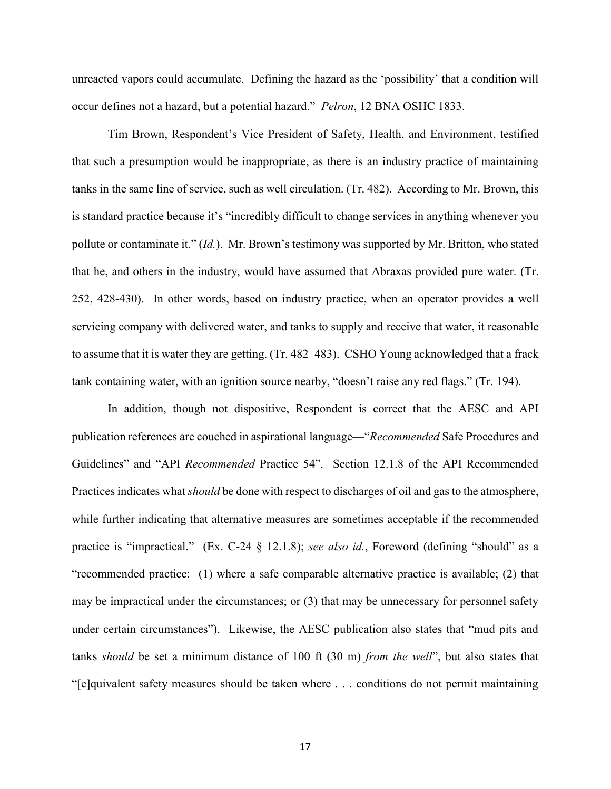unreacted vapors could accumulate. Defining the hazard as the 'possibility' that a condition will occur defines not a hazard, but a potential hazard." *Pelron*, 12 BNA OSHC 1833.

Tim Brown, Respondent's Vice President of Safety, Health, and Environment, testified that such a presumption would be inappropriate, as there is an industry practice of maintaining tanks in the same line of service, such as well circulation. (Tr. 482). According to Mr. Brown, this is standard practice because it's "incredibly difficult to change services in anything whenever you pollute or contaminate it." (*Id.*). Mr. Brown's testimony was supported by Mr. Britton, who stated that he, and others in the industry, would have assumed that Abraxas provided pure water. (Tr. 252, 428-430). In other words, based on industry practice, when an operator provides a well servicing company with delivered water, and tanks to supply and receive that water, it reasonable to assume that it is water they are getting. (Tr. 482–483). CSHO Young acknowledged that a frack tank containing water, with an ignition source nearby, "doesn't raise any red flags." (Tr. 194).

In addition, though not dispositive, Respondent is correct that the AESC and API publication references are couched in aspirational language—"*Recommended* Safe Procedures and Guidelines" and "API *Recommended* Practice 54". Section 12.1.8 of the API Recommended Practices indicates what *should* be done with respect to discharges of oil and gas to the atmosphere, while further indicating that alternative measures are sometimes acceptable if the recommended practice is "impractical." (Ex. C-24 § 12.1.8); *see also id.*, Foreword (defining "should" as a "recommended practice: (1) where a safe comparable alternative practice is available; (2) that may be impractical under the circumstances; or (3) that may be unnecessary for personnel safety under certain circumstances"). Likewise, the AESC publication also states that "mud pits and tanks *should* be set a minimum distance of 100 ft (30 m) *from the well*", but also states that "[e]quivalent safety measures should be taken where . . . conditions do not permit maintaining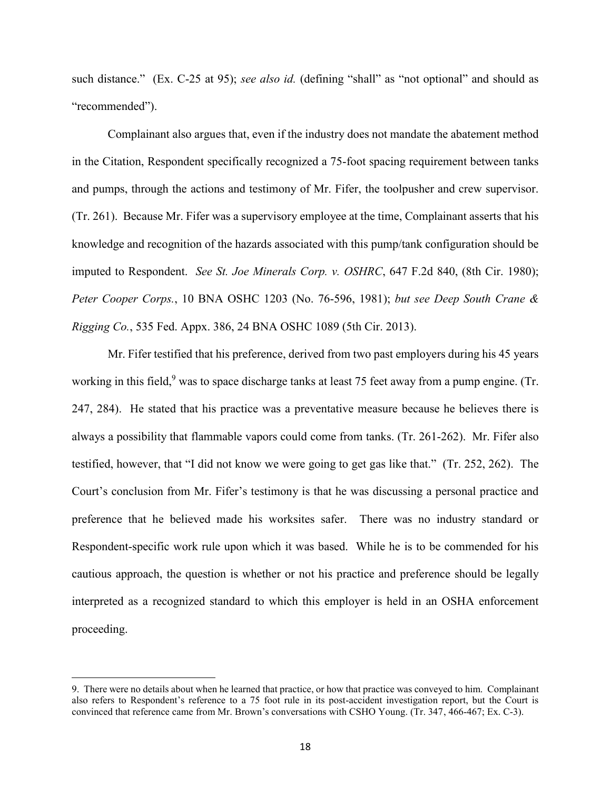such distance." (Ex. C-25 at 95); *see also id.* (defining "shall" as "not optional" and should as "recommended").

Complainant also argues that, even if the industry does not mandate the abatement method in the Citation, Respondent specifically recognized a 75-foot spacing requirement between tanks and pumps, through the actions and testimony of Mr. Fifer, the toolpusher and crew supervisor. (Tr. 261). Because Mr. Fifer was a supervisory employee at the time, Complainant asserts that his knowledge and recognition of the hazards associated with this pump/tank configuration should be imputed to Respondent. *See St. Joe Minerals Corp. v. OSHRC*, 647 F.2d 840, (8th Cir. 1980); *Peter Cooper Corps.*, 10 BNA OSHC 1203 (No. 76-596, 1981); *but see Deep South Crane & Rigging Co.*, 535 Fed. Appx. 386, 24 BNA OSHC 1089 (5th Cir. 2013).

Mr. Fifer testified that his preference, derived from two past employers during his 45 years working in this field,<sup>9</sup> was to space discharge tanks at least 75 feet away from a pump engine. (Tr. 247, 284). He stated that his practice was a preventative measure because he believes there is always a possibility that flammable vapors could come from tanks. (Tr. 261-262). Mr. Fifer also testified, however, that "I did not know we were going to get gas like that." (Tr. 252, 262). The Court's conclusion from Mr. Fifer's testimony is that he was discussing a personal practice and preference that he believed made his worksites safer. There was no industry standard or Respondent-specific work rule upon which it was based. While he is to be commended for his cautious approach, the question is whether or not his practice and preference should be legally interpreted as a recognized standard to which this employer is held in an OSHA enforcement proceeding.

<sup>9.</sup> There were no details about when he learned that practice, or how that practice was conveyed to him. Complainant also refers to Respondent's reference to a 75 foot rule in its post-accident investigation report, but the Court is convinced that reference came from Mr. Brown's conversations with CSHO Young. (Tr. 347, 466-467; Ex. C-3).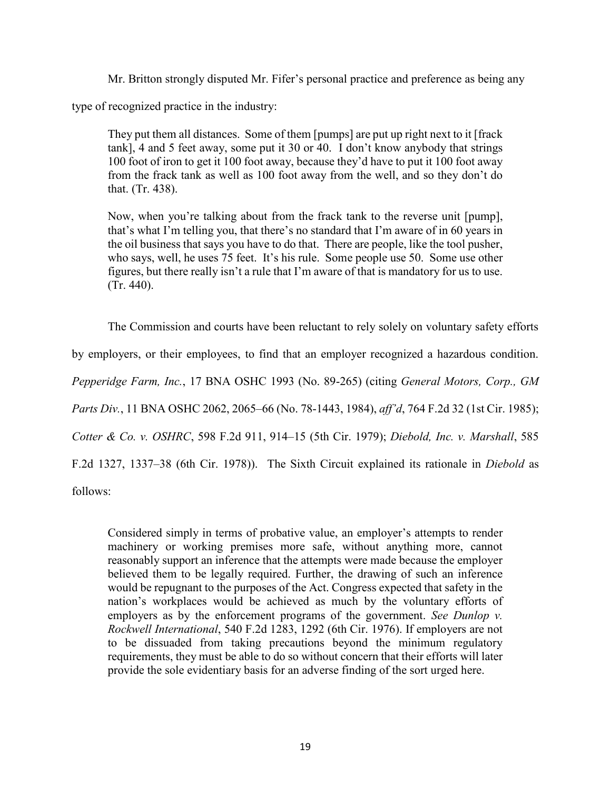Mr. Britton strongly disputed Mr. Fifer's personal practice and preference as being any

type of recognized practice in the industry:

They put them all distances. Some of them [pumps] are put up right next to it [frack tank], 4 and 5 feet away, some put it 30 or 40. I don't know anybody that strings 100 foot of iron to get it 100 foot away, because they'd have to put it 100 foot away from the frack tank as well as 100 foot away from the well, and so they don't do that. (Tr. 438).

Now, when you're talking about from the frack tank to the reverse unit [pump], that's what I'm telling you, that there's no standard that I'm aware of in 60 years in the oil business that says you have to do that. There are people, like the tool pusher, who says, well, he uses 75 feet. It's his rule. Some people use 50. Some use other figures, but there really isn't a rule that I'm aware of that is mandatory for us to use. (Tr. 440).

The Commission and courts have been reluctant to rely solely on voluntary safety efforts by employers, or their employees, to find that an employer recognized a hazardous condition. *Pepperidge Farm, Inc.*, 17 BNA OSHC 1993 (No. 89-265) (citing *General Motors, Corp., GM Parts Div.*, 11 BNA OSHC 2062, 2065–66 (No. 78-1443, 1984), *aff'd*, 764 F.2d 32 (1st Cir. 1985); *Cotter & Co. v. OSHRC*, 598 F.2d 911, 914–15 (5th Cir. 1979); *Diebold, Inc. v. Marshall*, 585 F.2d 1327, 1337–38 (6th Cir. 1978)). The Sixth Circuit explained its rationale in *Diebold* as

follows:

Considered simply in terms of probative value, an employer's attempts to render machinery or working premises more safe, without anything more, cannot reasonably support an inference that the attempts were made because the employer believed them to be legally required. Further, the drawing of such an inference would be repugnant to the purposes of the Act. Congress expected that safety in the nation's workplaces would be achieved as much by the voluntary efforts of employers as by the enforcement programs of the government. *See Dunlop v. Rockwell International*, 540 F.2d 1283, 1292 (6th Cir. 1976). If employers are not to be dissuaded from taking precautions beyond the minimum regulatory requirements, they must be able to do so without concern that their efforts will later provide the sole evidentiary basis for an adverse finding of the sort urged here.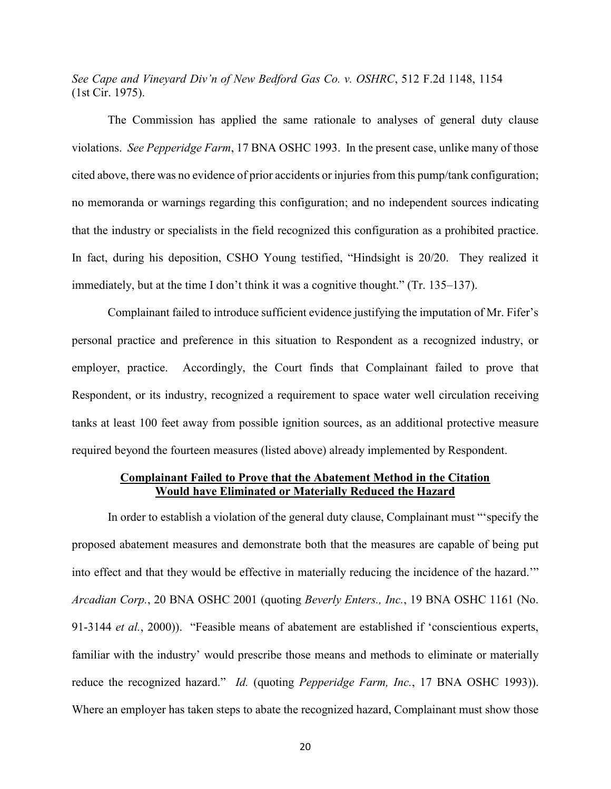*See Cape and Vineyard Div'n of New Bedford Gas Co. v. OSHRC*, 512 F.2d 1148, 1154 (1st Cir. 1975).

The Commission has applied the same rationale to analyses of general duty clause violations. *See Pepperidge Farm*, 17 BNA OSHC 1993. In the present case, unlike many of those cited above, there was no evidence of prior accidents or injuries from this pump/tank configuration; no memoranda or warnings regarding this configuration; and no independent sources indicating that the industry or specialists in the field recognized this configuration as a prohibited practice. In fact, during his deposition, CSHO Young testified, "Hindsight is 20/20. They realized it immediately, but at the time I don't think it was a cognitive thought." (Tr. 135–137).

Complainant failed to introduce sufficient evidence justifying the imputation of Mr. Fifer's personal practice and preference in this situation to Respondent as a recognized industry, or employer, practice. Accordingly, the Court finds that Complainant failed to prove that Respondent, or its industry, recognized a requirement to space water well circulation receiving tanks at least 100 feet away from possible ignition sources, as an additional protective measure required beyond the fourteen measures (listed above) already implemented by Respondent.

# **Complainant Failed to Prove that the Abatement Method in the Citation Would have Eliminated or Materially Reduced the Hazard**

In order to establish a violation of the general duty clause, Complainant must "'specify the proposed abatement measures and demonstrate both that the measures are capable of being put into effect and that they would be effective in materially reducing the incidence of the hazard.'" *Arcadian Corp.*, 20 BNA OSHC 2001 (quoting *Beverly Enters., Inc.*, 19 BNA OSHC 1161 (No. 91-3144 *et al.*, 2000)). "Feasible means of abatement are established if 'conscientious experts, familiar with the industry' would prescribe those means and methods to eliminate or materially reduce the recognized hazard." *Id.* (quoting *Pepperidge Farm, Inc.*, 17 BNA OSHC 1993)). Where an employer has taken steps to abate the recognized hazard, Complainant must show those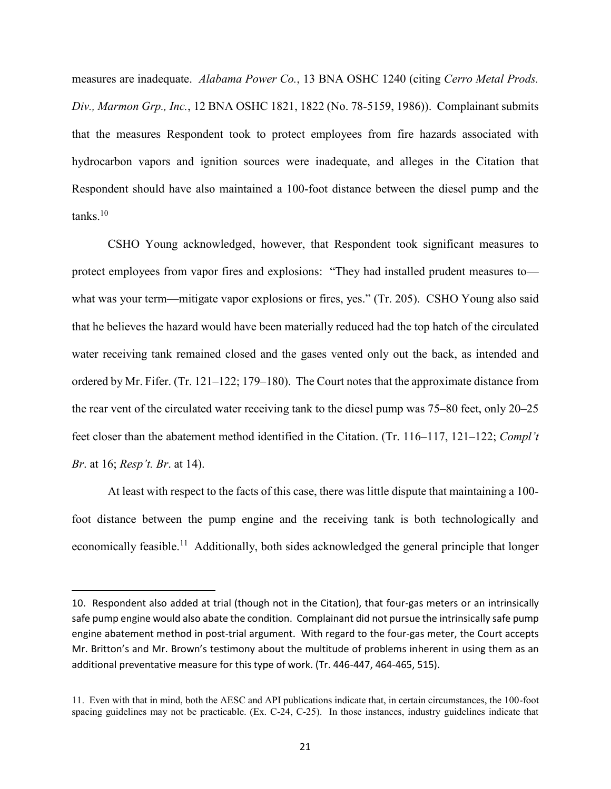measures are inadequate. *Alabama Power Co.*, 13 BNA OSHC 1240 (citing *Cerro Metal Prods. Div., Marmon Grp., Inc.*, 12 BNA OSHC 1821, 1822 (No. 78-5159, 1986)). Complainant submits that the measures Respondent took to protect employees from fire hazards associated with hydrocarbon vapors and ignition sources were inadequate, and alleges in the Citation that Respondent should have also maintained a 100-foot distance between the diesel pump and the tanks. 10

CSHO Young acknowledged, however, that Respondent took significant measures to protect employees from vapor fires and explosions: "They had installed prudent measures to what was your term—mitigate vapor explosions or fires, yes." (Tr. 205). CSHO Young also said that he believes the hazard would have been materially reduced had the top hatch of the circulated water receiving tank remained closed and the gases vented only out the back, as intended and ordered by Mr. Fifer. (Tr. 121–122; 179–180). The Court notes that the approximate distance from the rear vent of the circulated water receiving tank to the diesel pump was 75–80 feet, only 20–25 feet closer than the abatement method identified in the Citation. (Tr. 116–117, 121–122; *Compl't Br*. at 16; *Resp't. Br*. at 14).

At least with respect to the facts of this case, there was little dispute that maintaining a 100 foot distance between the pump engine and the receiving tank is both technologically and economically feasible.<sup>11</sup> Additionally, both sides acknowledged the general principle that longer

 $\overline{a}$ 

<sup>10.</sup> Respondent also added at trial (though not in the Citation), that four-gas meters or an intrinsically safe pump engine would also abate the condition. Complainant did not pursue the intrinsically safe pump engine abatement method in post-trial argument. With regard to the four-gas meter, the Court accepts Mr. Britton's and Mr. Brown's testimony about the multitude of problems inherent in using them as an additional preventative measure for this type of work. (Tr. 446-447, 464-465, 515).

<sup>11.</sup> Even with that in mind, both the AESC and API publications indicate that, in certain circumstances, the 100-foot spacing guidelines may not be practicable. (Ex. C-24, C-25). In those instances, industry guidelines indicate that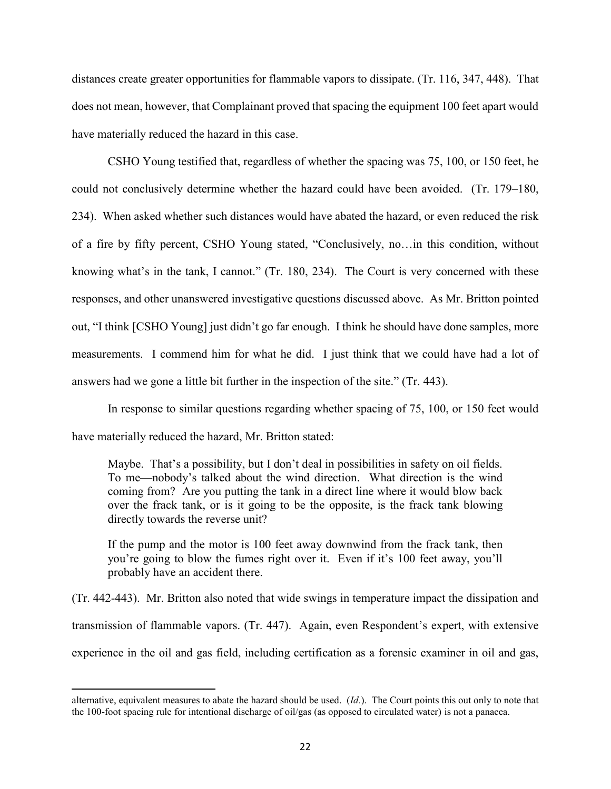distances create greater opportunities for flammable vapors to dissipate. (Tr. 116, 347, 448). That does not mean, however, that Complainant proved that spacing the equipment 100 feet apart would have materially reduced the hazard in this case.

CSHO Young testified that, regardless of whether the spacing was 75, 100, or 150 feet, he could not conclusively determine whether the hazard could have been avoided. (Tr. 179–180, 234). When asked whether such distances would have abated the hazard, or even reduced the risk of a fire by fifty percent, CSHO Young stated, "Conclusively, no…in this condition, without knowing what's in the tank, I cannot." (Tr. 180, 234). The Court is very concerned with these responses, and other unanswered investigative questions discussed above. As Mr. Britton pointed out, "I think [CSHO Young] just didn't go far enough. I think he should have done samples, more measurements. I commend him for what he did. I just think that we could have had a lot of answers had we gone a little bit further in the inspection of the site." (Tr. 443).

In response to similar questions regarding whether spacing of 75, 100, or 150 feet would have materially reduced the hazard, Mr. Britton stated:

Maybe. That's a possibility, but I don't deal in possibilities in safety on oil fields. To me—nobody's talked about the wind direction. What direction is the wind coming from? Are you putting the tank in a direct line where it would blow back over the frack tank, or is it going to be the opposite, is the frack tank blowing directly towards the reverse unit?

If the pump and the motor is 100 feet away downwind from the frack tank, then you're going to blow the fumes right over it. Even if it's 100 feet away, you'll probably have an accident there.

(Tr. 442-443). Mr. Britton also noted that wide swings in temperature impact the dissipation and transmission of flammable vapors. (Tr. 447). Again, even Respondent's expert, with extensive experience in the oil and gas field, including certification as a forensic examiner in oil and gas,

 $\overline{a}$ 

alternative, equivalent measures to abate the hazard should be used. (*Id.*). The Court points this out only to note that the 100-foot spacing rule for intentional discharge of oil/gas (as opposed to circulated water) is not a panacea.